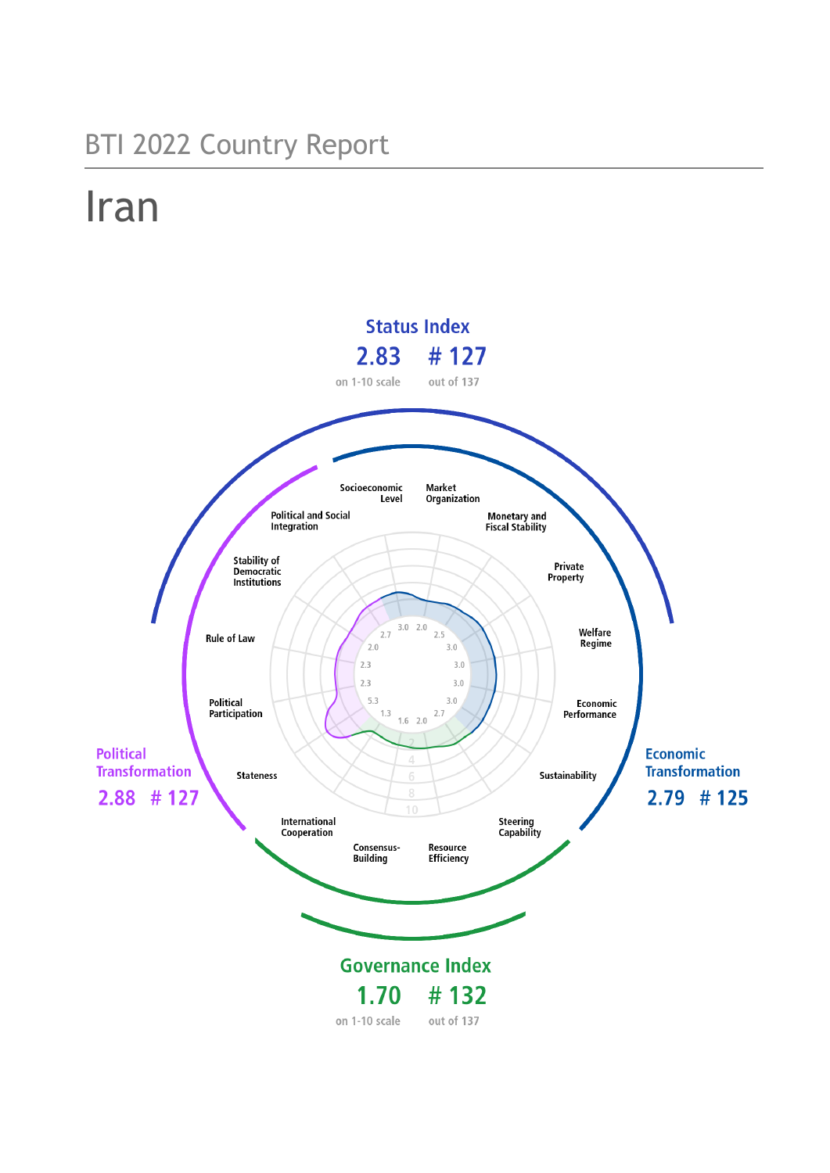## BTI 2022 Country Report

# Iran

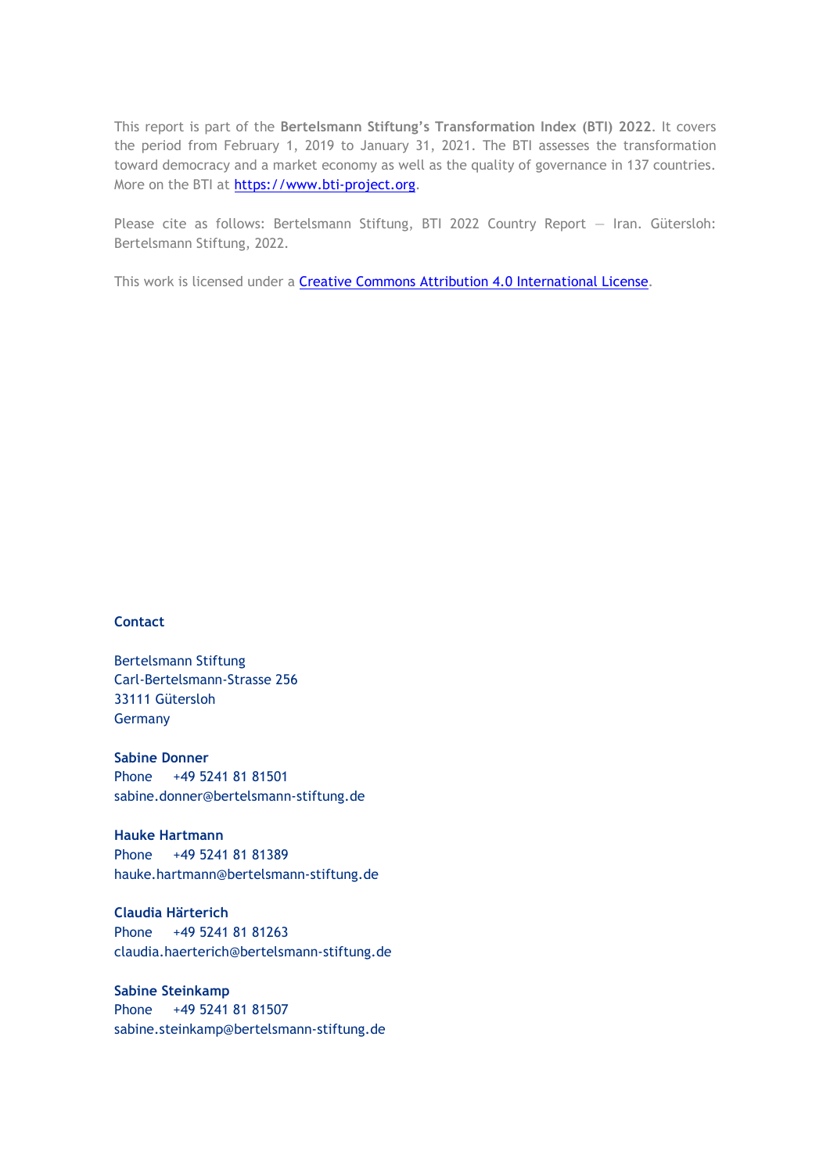This report is part of the **Bertelsmann Stiftung's Transformation Index (BTI) 2022**. It covers the period from February 1, 2019 to January 31, 2021. The BTI assesses the transformation toward democracy and a market economy as well as the quality of governance in 137 countries. More on the BTI at [https://www.bti-project.org.](https://www.bti-project.org/)

Please cite as follows: Bertelsmann Stiftung, BTI 2022 Country Report — Iran. Gütersloh: Bertelsmann Stiftung, 2022.

This work is licensed under a **Creative Commons Attribution 4.0 International License**.

#### **Contact**

Bertelsmann Stiftung Carl-Bertelsmann-Strasse 256 33111 Gütersloh Germany

**Sabine Donner** Phone +49 5241 81 81501 sabine.donner@bertelsmann-stiftung.de

**Hauke Hartmann** Phone +49 5241 81 81389 hauke.hartmann@bertelsmann-stiftung.de

**Claudia Härterich** Phone +49 5241 81 81263 claudia.haerterich@bertelsmann-stiftung.de

#### **Sabine Steinkamp** Phone +49 5241 81 81507 sabine.steinkamp@bertelsmann-stiftung.de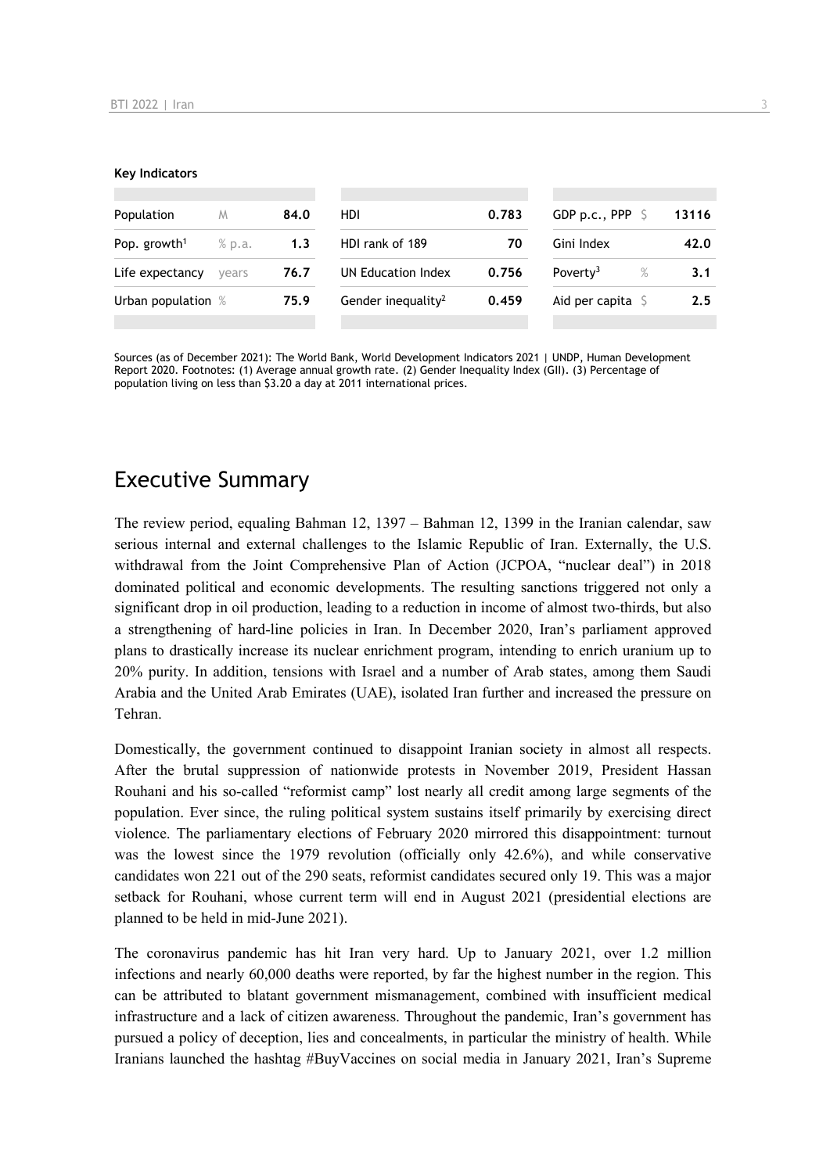#### **Key Indicators**

| Population               | M        | 84.0 | HDI                            | 0.783 | GDP p.c., PPP $\ S$          | 13116 |
|--------------------------|----------|------|--------------------------------|-------|------------------------------|-------|
| Pop. growth <sup>1</sup> | $%$ p.a. | 1.3  | HDI rank of 189<br>70          |       | Gini Index                   | 42.0  |
| Life expectancy          | vears    | 76.7 | UN Education Index             | 0.756 | Poverty <sup>3</sup><br>$\%$ | 3.1   |
| Urban population %       |          | 75.9 | Gender inequality <sup>2</sup> | 0.459 | Aid per capita $\sqrt{5}$    | 2.5   |
|                          |          |      |                                |       |                              |       |

Sources (as of December 2021): The World Bank, World Development Indicators 2021 | UNDP, Human Development Report 2020. Footnotes: (1) Average annual growth rate. (2) Gender Inequality Index (GII). (3) Percentage of population living on less than \$3.20 a day at 2011 international prices.

## Executive Summary

The review period, equaling Bahman 12, 1397 – Bahman 12, 1399 in the Iranian calendar, saw serious internal and external challenges to the Islamic Republic of Iran. Externally, the U.S. withdrawal from the Joint Comprehensive Plan of Action (JCPOA, "nuclear deal") in 2018 dominated political and economic developments. The resulting sanctions triggered not only a significant drop in oil production, leading to a reduction in income of almost two-thirds, but also a strengthening of hard-line policies in Iran. In December 2020, Iran's parliament approved plans to drastically increase its nuclear enrichment program, intending to enrich uranium up to 20% purity. In addition, tensions with Israel and a number of Arab states, among them Saudi Arabia and the United Arab Emirates (UAE), isolated Iran further and increased the pressure on Tehran.

Domestically, the government continued to disappoint Iranian society in almost all respects. After the brutal suppression of nationwide protests in November 2019, President Hassan Rouhani and his so-called "reformist camp" lost nearly all credit among large segments of the population. Ever since, the ruling political system sustains itself primarily by exercising direct violence. The parliamentary elections of February 2020 mirrored this disappointment: turnout was the lowest since the 1979 revolution (officially only 42.6%), and while conservative candidates won 221 out of the 290 seats, reformist candidates secured only 19. This was a major setback for Rouhani, whose current term will end in August 2021 (presidential elections are planned to be held in mid-June 2021).

The coronavirus pandemic has hit Iran very hard. Up to January 2021, over 1.2 million infections and nearly 60,000 deaths were reported, by far the highest number in the region. This can be attributed to blatant government mismanagement, combined with insufficient medical infrastructure and a lack of citizen awareness. Throughout the pandemic, Iran's government has pursued a policy of deception, lies and concealments, in particular the ministry of health. While Iranians launched the hashtag #BuyVaccines on social media in January 2021, Iran's Supreme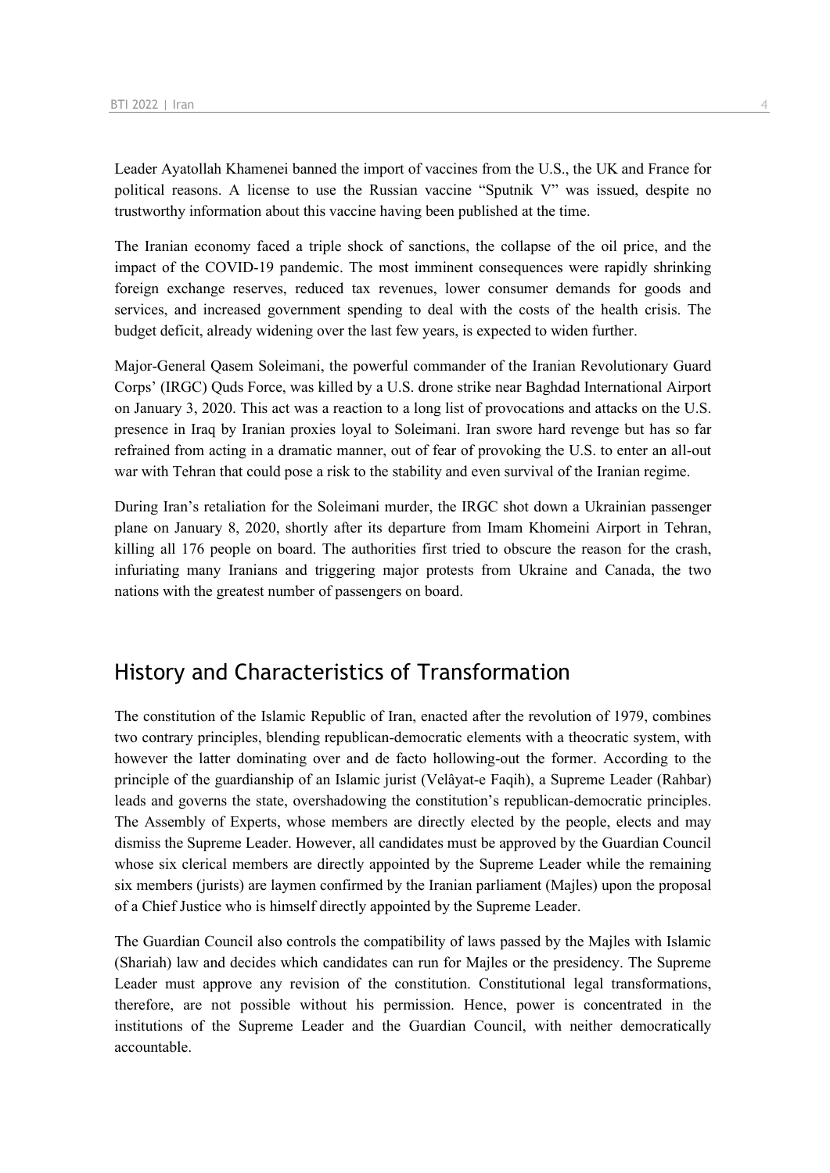Leader Ayatollah Khamenei banned the import of vaccines from the U.S., the UK and France for political reasons. A license to use the Russian vaccine "Sputnik V" was issued, despite no trustworthy information about this vaccine having been published at the time.

The Iranian economy faced a triple shock of sanctions, the collapse of the oil price, and the impact of the COVID-19 pandemic. The most imminent consequences were rapidly shrinking foreign exchange reserves, reduced tax revenues, lower consumer demands for goods and services, and increased government spending to deal with the costs of the health crisis. The budget deficit, already widening over the last few years, is expected to widen further.

Major-General Qasem Soleimani, the powerful commander of the Iranian Revolutionary Guard Corps' (IRGC) Quds Force, was killed by a U.S. drone strike near Baghdad International Airport on January 3, 2020. This act was a reaction to a long list of provocations and attacks on the U.S. presence in Iraq by Iranian proxies loyal to Soleimani. Iran swore hard revenge but has so far refrained from acting in a dramatic manner, out of fear of provoking the U.S. to enter an all-out war with Tehran that could pose a risk to the stability and even survival of the Iranian regime.

During Iran's retaliation for the Soleimani murder, the IRGC shot down a Ukrainian passenger plane on January 8, 2020, shortly after its departure from Imam Khomeini Airport in Tehran, killing all 176 people on board. The authorities first tried to obscure the reason for the crash, infuriating many Iranians and triggering major protests from Ukraine and Canada, the two nations with the greatest number of passengers on board.

## History and Characteristics of Transformation

The constitution of the Islamic Republic of Iran, enacted after the revolution of 1979, combines two contrary principles, blending republican-democratic elements with a theocratic system, with however the latter dominating over and de facto hollowing-out the former. According to the principle of the guardianship of an Islamic jurist (Velâyat-e Faqih), a Supreme Leader (Rahbar) leads and governs the state, overshadowing the constitution's republican-democratic principles. The Assembly of Experts, whose members are directly elected by the people, elects and may dismiss the Supreme Leader. However, all candidates must be approved by the Guardian Council whose six clerical members are directly appointed by the Supreme Leader while the remaining six members (jurists) are laymen confirmed by the Iranian parliament (Majles) upon the proposal of a Chief Justice who is himself directly appointed by the Supreme Leader.

The Guardian Council also controls the compatibility of laws passed by the Majles with Islamic (Shariah) law and decides which candidates can run for Majles or the presidency. The Supreme Leader must approve any revision of the constitution. Constitutional legal transformations, therefore, are not possible without his permission. Hence, power is concentrated in the institutions of the Supreme Leader and the Guardian Council, with neither democratically accountable.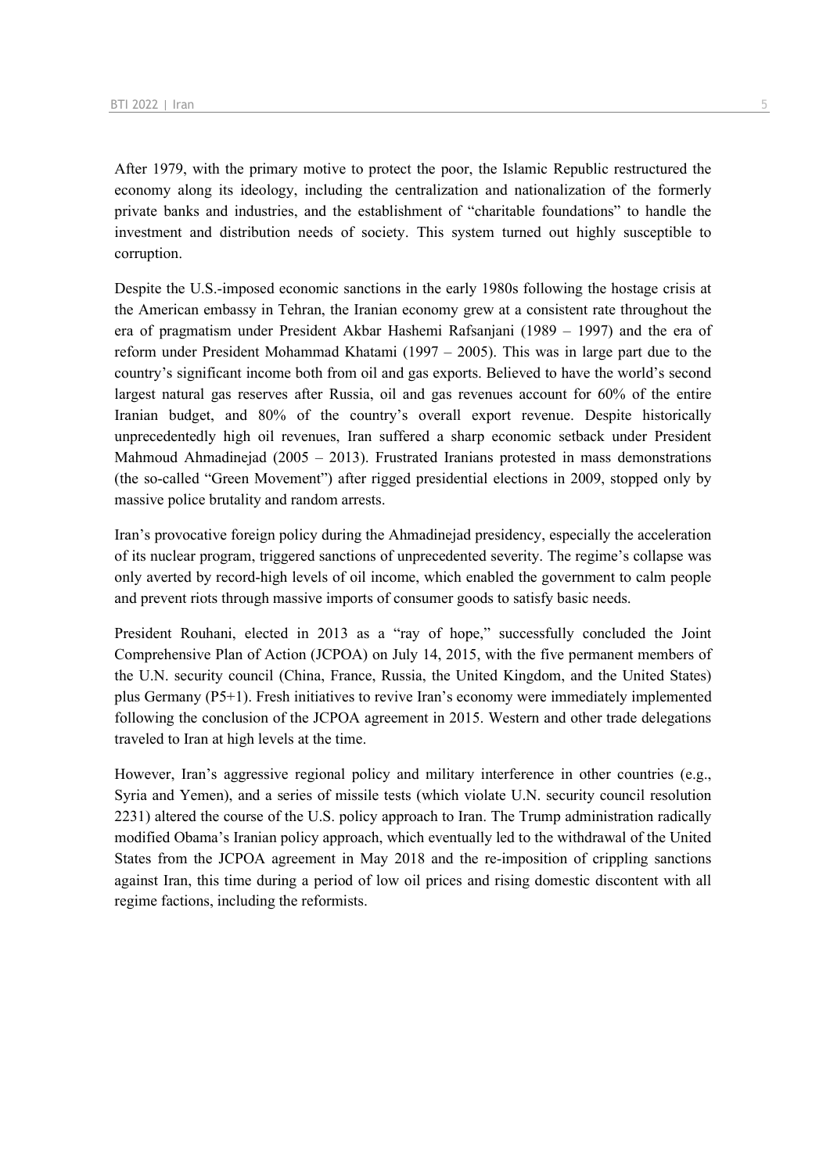After 1979, with the primary motive to protect the poor, the Islamic Republic restructured the economy along its ideology, including the centralization and nationalization of the formerly private banks and industries, and the establishment of "charitable foundations" to handle the investment and distribution needs of society. This system turned out highly susceptible to corruption.

Despite the U.S.-imposed economic sanctions in the early 1980s following the hostage crisis at the American embassy in Tehran, the Iranian economy grew at a consistent rate throughout the era of pragmatism under President Akbar Hashemi Rafsanjani (1989 – 1997) and the era of reform under President Mohammad Khatami (1997 – 2005). This was in large part due to the country's significant income both from oil and gas exports. Believed to have the world's second largest natural gas reserves after Russia, oil and gas revenues account for 60% of the entire Iranian budget, and 80% of the country's overall export revenue. Despite historically unprecedentedly high oil revenues, Iran suffered a sharp economic setback under President Mahmoud Ahmadinejad (2005 – 2013). Frustrated Iranians protested in mass demonstrations (the so-called "Green Movement") after rigged presidential elections in 2009, stopped only by massive police brutality and random arrests.

Iran's provocative foreign policy during the Ahmadinejad presidency, especially the acceleration of its nuclear program, triggered sanctions of unprecedented severity. The regime's collapse was only averted by record-high levels of oil income, which enabled the government to calm people and prevent riots through massive imports of consumer goods to satisfy basic needs.

President Rouhani, elected in 2013 as a "ray of hope," successfully concluded the Joint Comprehensive Plan of Action (JCPOA) on July 14, 2015, with the five permanent members of the U.N. security council (China, France, Russia, the United Kingdom, and the United States) plus Germany (P5+1). Fresh initiatives to revive Iran's economy were immediately implemented following the conclusion of the JCPOA agreement in 2015. Western and other trade delegations traveled to Iran at high levels at the time.

However, Iran's aggressive regional policy and military interference in other countries (e.g., Syria and Yemen), and a series of missile tests (which violate U.N. security council resolution 2231) altered the course of the U.S. policy approach to Iran. The Trump administration radically modified Obama's Iranian policy approach, which eventually led to the withdrawal of the United States from the JCPOA agreement in May 2018 and the re-imposition of crippling sanctions against Iran, this time during a period of low oil prices and rising domestic discontent with all regime factions, including the reformists.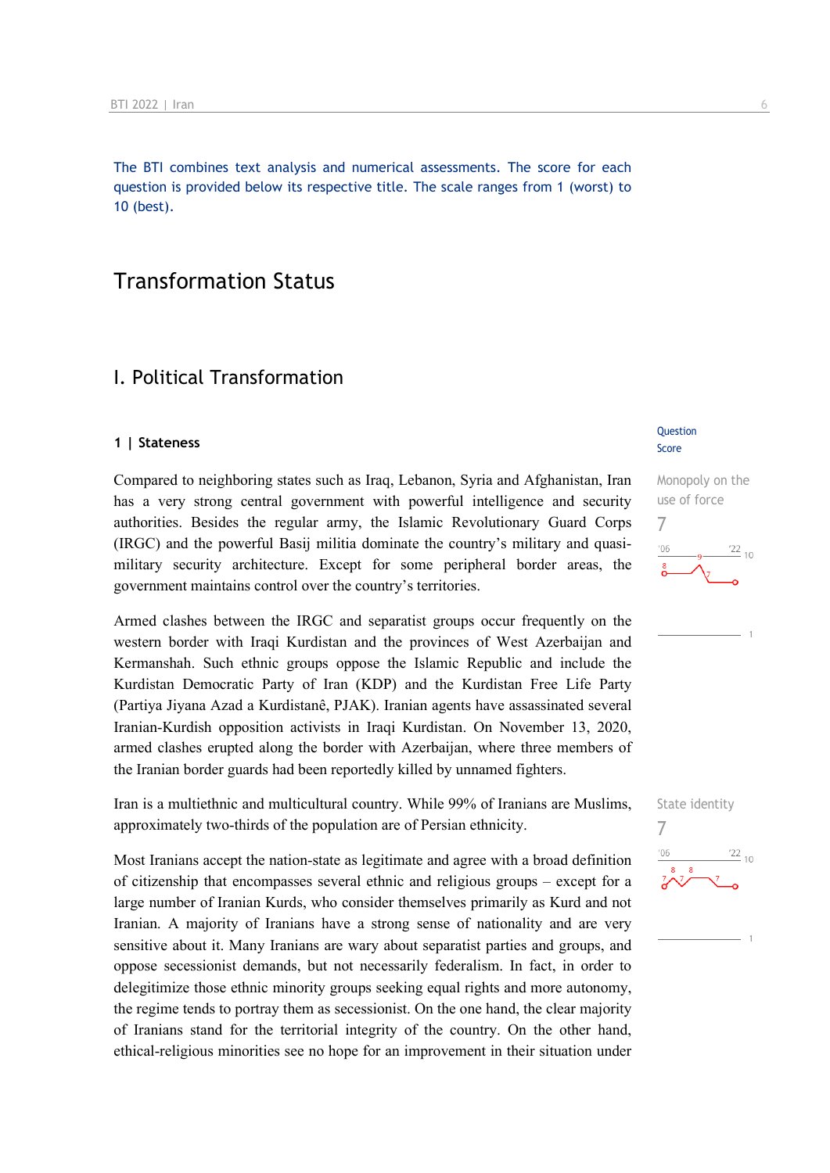The BTI combines text analysis and numerical assessments. The score for each question is provided below its respective title. The scale ranges from 1 (worst) to 10 (best).

## Transformation Status

## I. Political Transformation

#### **1 | Stateness**

Compared to neighboring states such as Iraq, Lebanon, Syria and Afghanistan, Iran has a very strong central government with powerful intelligence and security authorities. Besides the regular army, the Islamic Revolutionary Guard Corps (IRGC) and the powerful Basij militia dominate the country's military and quasimilitary security architecture. Except for some peripheral border areas, the government maintains control over the country's territories.

Armed clashes between the IRGC and separatist groups occur frequently on the western border with Iraqi Kurdistan and the provinces of West Azerbaijan and Kermanshah. Such ethnic groups oppose the Islamic Republic and include the Kurdistan Democratic Party of Iran (KDP) and the Kurdistan Free Life Party (Partiya Jiyana Azad a Kurdistanê, PJAK). Iranian agents have assassinated several Iranian-Kurdish opposition activists in Iraqi Kurdistan. On November 13, 2020, armed clashes erupted along the border with Azerbaijan, where three members of the Iranian border guards had been reportedly killed by unnamed fighters.

Iran is a multiethnic and multicultural country. While 99% of Iranians are Muslims, approximately two-thirds of the population are of Persian ethnicity.

Most Iranians accept the nation-state as legitimate and agree with a broad definition of citizenship that encompasses several ethnic and religious groups – except for a large number of Iranian Kurds, who consider themselves primarily as Kurd and not Iranian. A majority of Iranians have a strong sense of nationality and are very sensitive about it. Many Iranians are wary about separatist parties and groups, and oppose secessionist demands, but not necessarily federalism. In fact, in order to delegitimize those ethnic minority groups seeking equal rights and more autonomy, the regime tends to portray them as secessionist. On the one hand, the clear majority of Iranians stand for the territorial integrity of the country. On the other hand, ethical-religious minorities see no hope for an improvement in their situation under

#### **Question** Score



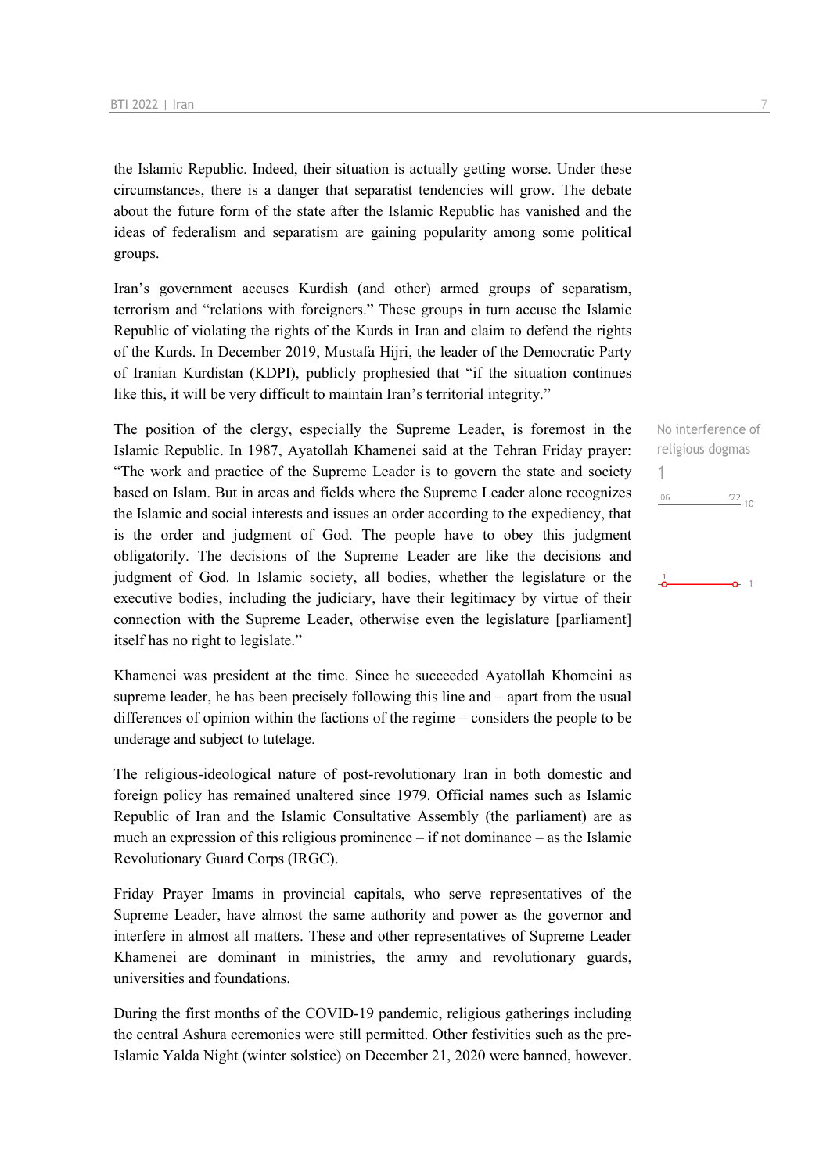the Islamic Republic. Indeed, their situation is actually getting worse. Under these circumstances, there is a danger that separatist tendencies will grow. The debate about the future form of the state after the Islamic Republic has vanished and the ideas of federalism and separatism are gaining popularity among some political groups.

Iran's government accuses Kurdish (and other) armed groups of separatism, terrorism and "relations with foreigners." These groups in turn accuse the Islamic Republic of violating the rights of the Kurds in Iran and claim to defend the rights of the Kurds. In December 2019, Mustafa Hijri, the leader of the Democratic Party of Iranian Kurdistan (KDPI), publicly prophesied that "if the situation continues like this, it will be very difficult to maintain Iran's territorial integrity."

The position of the clergy, especially the Supreme Leader, is foremost in the Islamic Republic. In 1987, Ayatollah Khamenei said at the Tehran Friday prayer: "The work and practice of the Supreme Leader is to govern the state and society based on Islam. But in areas and fields where the Supreme Leader alone recognizes the Islamic and social interests and issues an order according to the expediency, that is the order and judgment of God. The people have to obey this judgment obligatorily. The decisions of the Supreme Leader are like the decisions and judgment of God. In Islamic society, all bodies, whether the legislature or the executive bodies, including the judiciary, have their legitimacy by virtue of their connection with the Supreme Leader, otherwise even the legislature [parliament] itself has no right to legislate."

Khamenei was president at the time. Since he succeeded Ayatollah Khomeini as supreme leader, he has been precisely following this line and – apart from the usual differences of opinion within the factions of the regime – considers the people to be underage and subject to tutelage.

The religious-ideological nature of post-revolutionary Iran in both domestic and foreign policy has remained unaltered since 1979. Official names such as Islamic Republic of Iran and the Islamic Consultative Assembly (the parliament) are as much an expression of this religious prominence – if not dominance – as the Islamic Revolutionary Guard Corps (IRGC).

Friday Prayer Imams in provincial capitals, who serve representatives of the Supreme Leader, have almost the same authority and power as the governor and interfere in almost all matters. These and other representatives of Supreme Leader Khamenei are dominant in ministries, the army and revolutionary guards, universities and foundations.

During the first months of the COVID-19 pandemic, religious gatherings including the central Ashura ceremonies were still permitted. Other festivities such as the pre-Islamic Yalda Night (winter solstice) on December 21, 2020 were banned, however.

No interference of religious dogmas 1 $'06$  $\frac{22}{10}$  $\sim$  1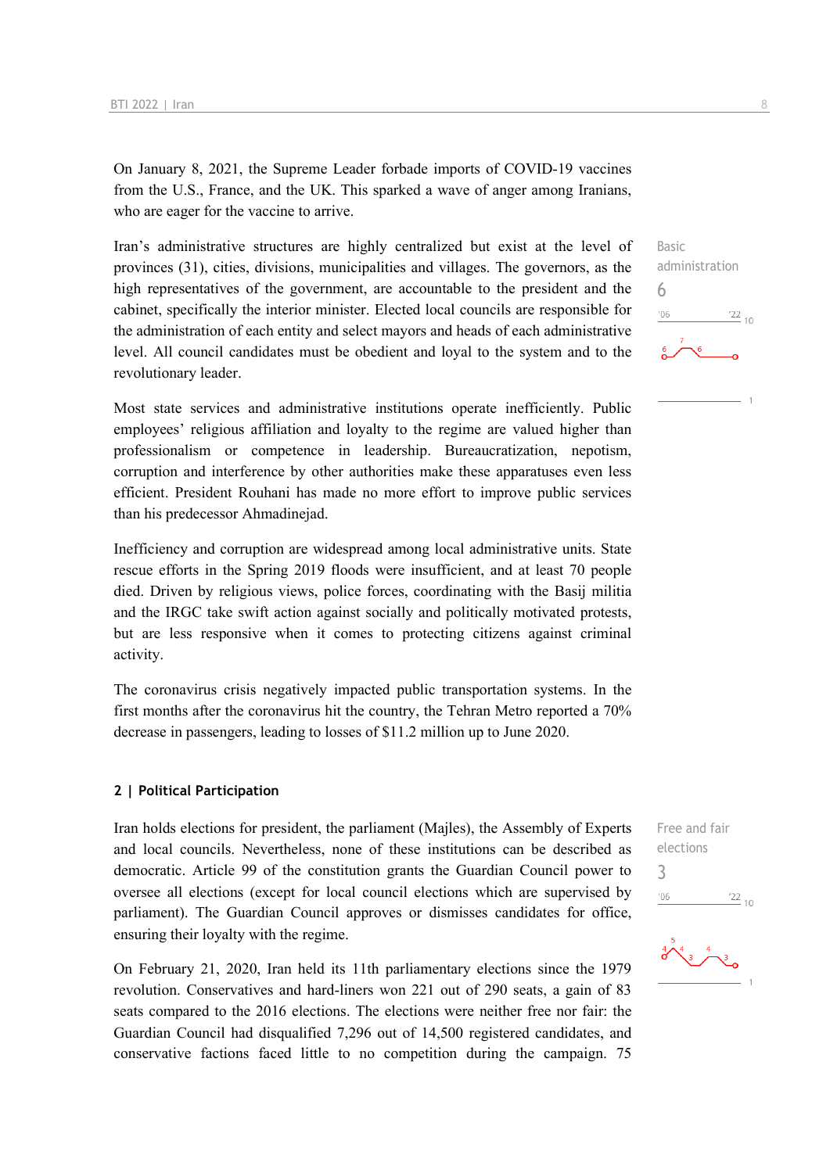On January 8, 2021, the Supreme Leader forbade imports of COVID-19 vaccines from the U.S., France, and the UK. This sparked a wave of anger among Iranians, who are eager for the vaccine to arrive.

Iran's administrative structures are highly centralized but exist at the level of provinces (31), cities, divisions, municipalities and villages. The governors, as the high representatives of the government, are accountable to the president and the cabinet, specifically the interior minister. Elected local councils are responsible for the administration of each entity and select mayors and heads of each administrative level. All council candidates must be obedient and loyal to the system and to the revolutionary leader.

Most state services and administrative institutions operate inefficiently. Public employees' religious affiliation and loyalty to the regime are valued higher than professionalism or competence in leadership. Bureaucratization, nepotism, corruption and interference by other authorities make these apparatuses even less efficient. President Rouhani has made no more effort to improve public services than his predecessor Ahmadinejad.

Inefficiency and corruption are widespread among local administrative units. State rescue efforts in the Spring 2019 floods were insufficient, and at least 70 people died. Driven by religious views, police forces, coordinating with the Basij militia and the IRGC take swift action against socially and politically motivated protests, but are less responsive when it comes to protecting citizens against criminal activity.

The coronavirus crisis negatively impacted public transportation systems. In the first months after the coronavirus hit the country, the Tehran Metro reported a 70% decrease in passengers, leading to losses of \$11.2 million up to June 2020.

#### **2 | Political Participation**

Iran holds elections for president, the parliament (Majles), the Assembly of Experts and local councils. Nevertheless, none of these institutions can be described as democratic. Article 99 of the constitution grants the Guardian Council power to oversee all elections (except for local council elections which are supervised by parliament). The Guardian Council approves or dismisses candidates for office, ensuring their loyalty with the regime.

On February 21, 2020, Iran held its 11th parliamentary elections since the 1979 revolution. Conservatives and hard-liners won 221 out of 290 seats, a gain of 83 seats compared to the 2016 elections. The elections were neither free nor fair: the Guardian Council had disqualified 7,296 out of 14,500 registered candidates, and conservative factions faced little to no competition during the campaign. 75





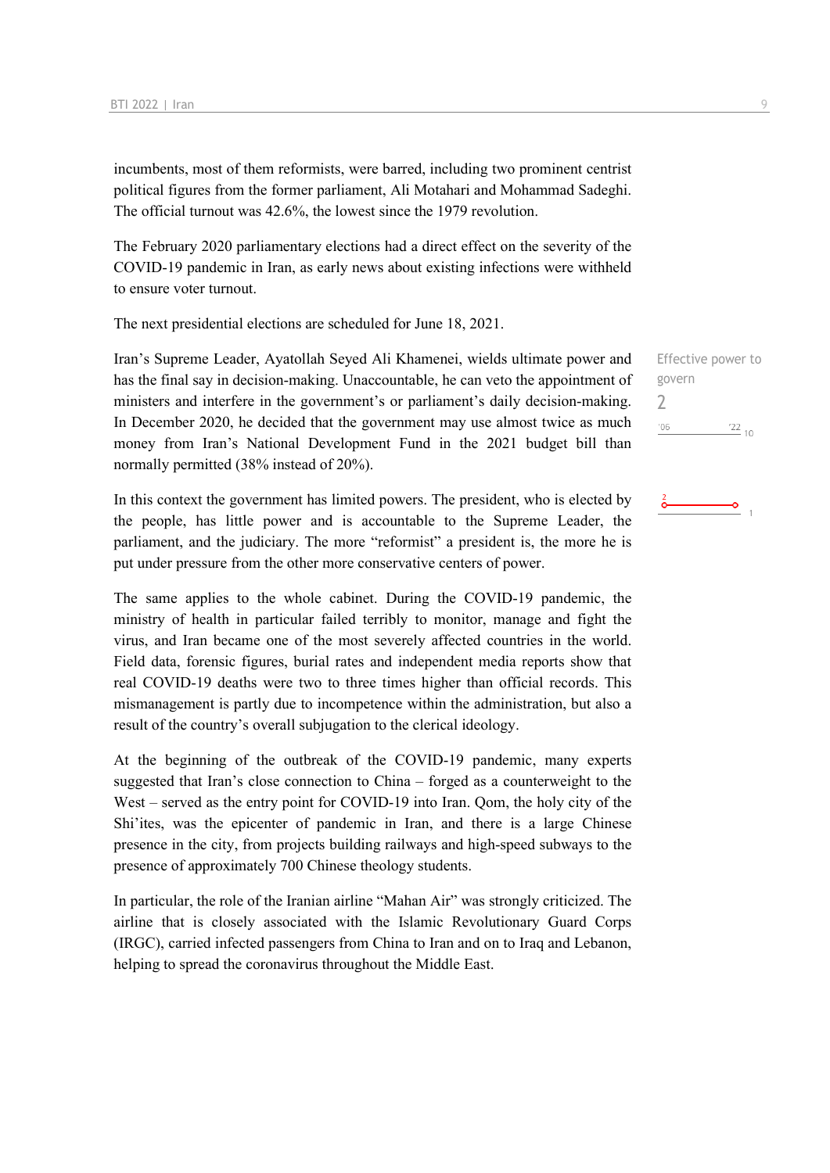incumbents, most of them reformists, were barred, including two prominent centrist political figures from the former parliament, Ali Motahari and Mohammad Sadeghi. The official turnout was 42.6%, the lowest since the 1979 revolution.

The February 2020 parliamentary elections had a direct effect on the severity of the COVID-19 pandemic in Iran, as early news about existing infections were withheld to ensure voter turnout.

The next presidential elections are scheduled for June 18, 2021.

Iran's Supreme Leader, Ayatollah Seyed Ali Khamenei, wields ultimate power and has the final say in decision-making. Unaccountable, he can veto the appointment of ministers and interfere in the government's or parliament's daily decision-making. In December 2020, he decided that the government may use almost twice as much money from Iran's National Development Fund in the 2021 budget bill than normally permitted (38% instead of 20%).

In this context the government has limited powers. The president, who is elected by the people, has little power and is accountable to the Supreme Leader, the parliament, and the judiciary. The more "reformist" a president is, the more he is put under pressure from the other more conservative centers of power.

The same applies to the whole cabinet. During the COVID-19 pandemic, the ministry of health in particular failed terribly to monitor, manage and fight the virus, and Iran became one of the most severely affected countries in the world. Field data, forensic figures, burial rates and independent media reports show that real COVID-19 deaths were two to three times higher than official records. This mismanagement is partly due to incompetence within the administration, but also a result of the country's overall subjugation to the clerical ideology.

At the beginning of the outbreak of the COVID-19 pandemic, many experts suggested that Iran's close connection to China – forged as a counterweight to the West – served as the entry point for COVID-19 into Iran. Oom, the holy city of the Shi'ites, was the epicenter of pandemic in Iran, and there is a large Chinese presence in the city, from projects building railways and high-speed subways to the presence of approximately 700 Chinese theology students.

In particular, the role of the Iranian airline "Mahan Air" was strongly criticized. The airline that is closely associated with the Islamic Revolutionary Guard Corps (IRGC), carried infected passengers from China to Iran and on to Iraq and Lebanon, helping to spread the coronavirus throughout the Middle East.

Effective power to govern 2 $\frac{22}{10}$  $'06$ 

#### $\sigma$  $\overline{1}$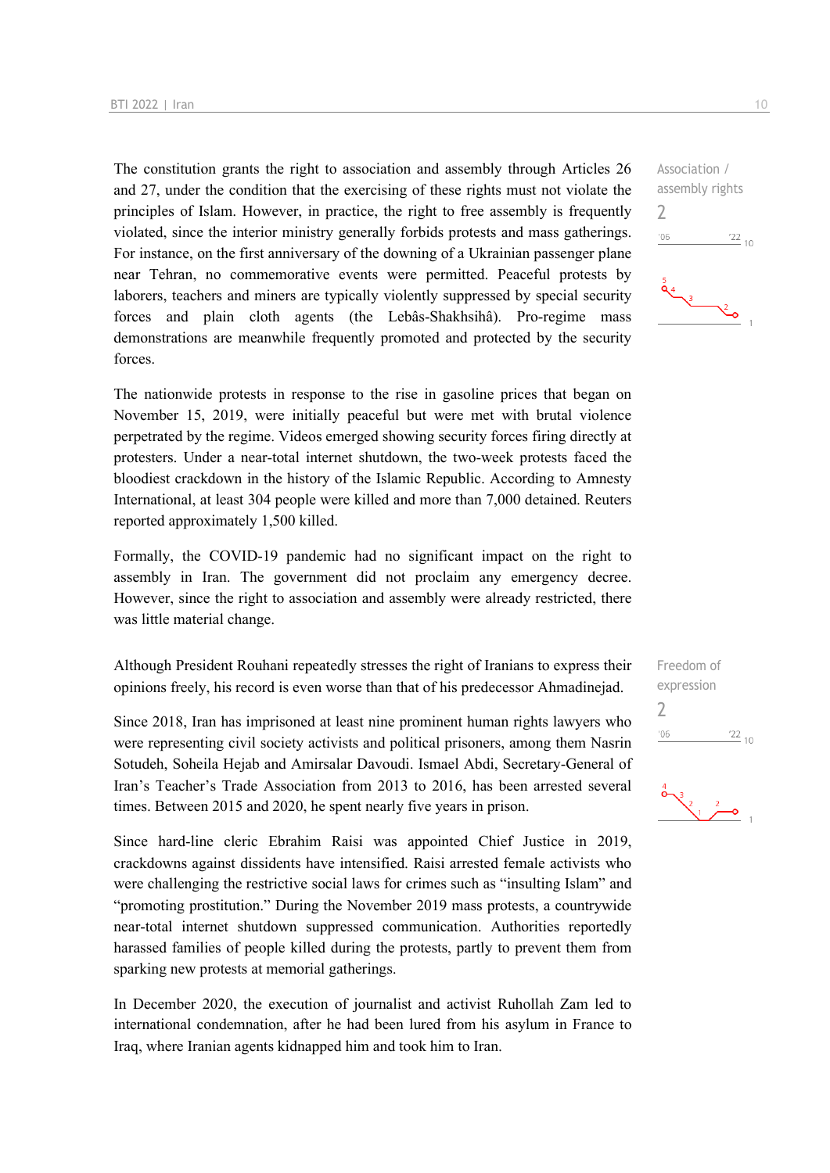The constitution grants the right to association and assembly through Articles 26 and 27, under the condition that the exercising of these rights must not violate the principles of Islam. However, in practice, the right to free assembly is frequently violated, since the interior ministry generally forbids protests and mass gatherings. For instance, on the first anniversary of the downing of a Ukrainian passenger plane near Tehran, no commemorative events were permitted. Peaceful protests by laborers, teachers and miners are typically violently suppressed by special security forces and plain cloth agents (the Lebâs-Shakhsihâ). Pro-regime mass demonstrations are meanwhile frequently promoted and protected by the security forces.

The nationwide protests in response to the rise in gasoline prices that began on November 15, 2019, were initially peaceful but were met with brutal violence perpetrated by the regime. Videos emerged showing security forces firing directly at protesters. Under a near-total internet shutdown, the two-week protests faced the bloodiest crackdown in the history of the Islamic Republic. According to Amnesty International, at least 304 people were killed and more than 7,000 detained. Reuters reported approximately 1,500 killed.

Formally, the COVID-19 pandemic had no significant impact on the right to assembly in Iran. The government did not proclaim any emergency decree. However, since the right to association and assembly were already restricted, there was little material change.

Although President Rouhani repeatedly stresses the right of Iranians to express their opinions freely, his record is even worse than that of his predecessor Ahmadinejad.

Since 2018, Iran has imprisoned at least nine prominent human rights lawyers who were representing civil society activists and political prisoners, among them Nasrin Sotudeh, Soheila Hejab and Amirsalar Davoudi. Ismael Abdi, Secretary-General of Iran's Teacher's Trade Association from 2013 to 2016, has been arrested several times. Between 2015 and 2020, he spent nearly five years in prison.

Since hard-line cleric Ebrahim Raisi was appointed Chief Justice in 2019, crackdowns against dissidents have intensified. Raisi arrested female activists who were challenging the restrictive social laws for crimes such as "insulting Islam" and "promoting prostitution." During the November 2019 mass protests, a countrywide near-total internet shutdown suppressed communication. Authorities reportedly harassed families of people killed during the protests, partly to prevent them from sparking new protests at memorial gatherings.

In December 2020, the execution of journalist and activist Ruhollah Zam led to international condemnation, after he had been lured from his asylum in France to Iraq, where Iranian agents kidnapped him and took him to Iran.

Association / assembly rights

2

 $-06$ 

Freedom of expression 2 $-06$  $\frac{22}{10}$ 



 $\frac{22}{10}$ 

 $\sum_{i=1}^{n}$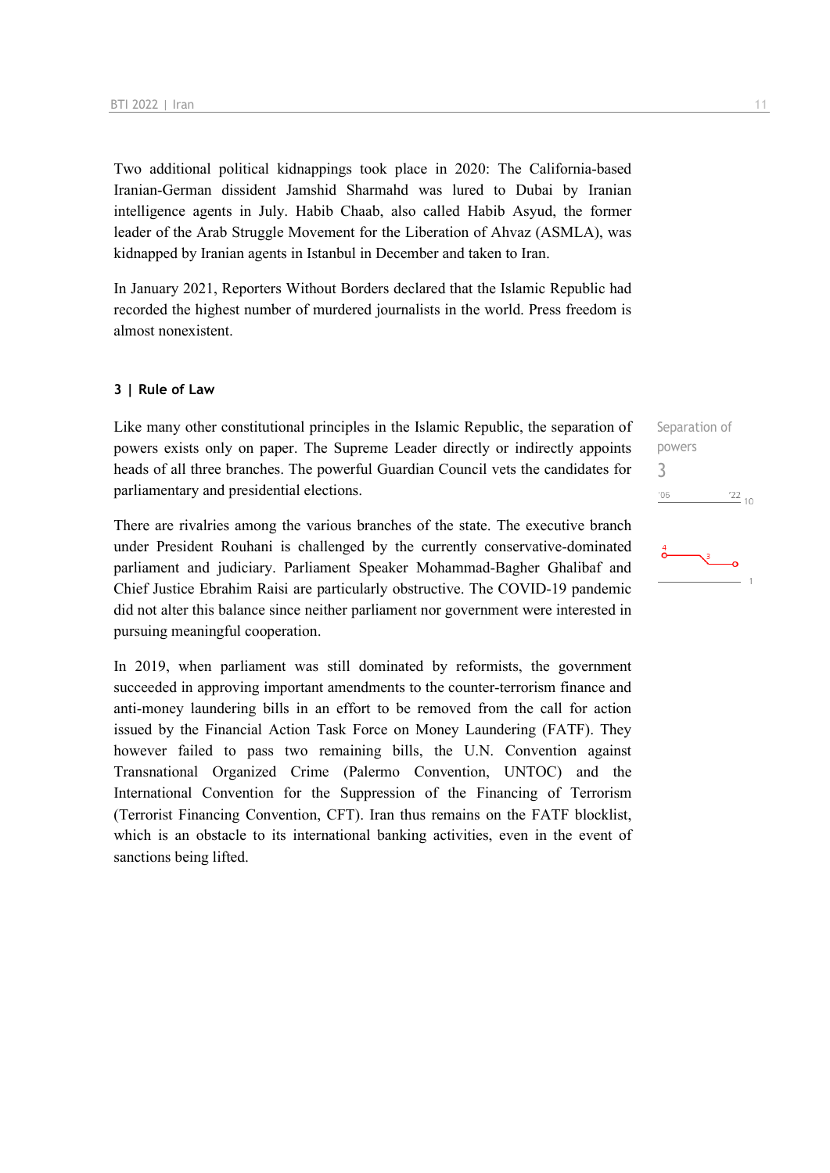Two additional political kidnappings took place in 2020: The California-based Iranian-German dissident Jamshid Sharmahd was lured to Dubai by Iranian intelligence agents in July. Habib Chaab, also called Habib Asyud, the former leader of the Arab Struggle Movement for the Liberation of Ahvaz (ASMLA), was kidnapped by Iranian agents in Istanbul in December and taken to Iran.

In January 2021, Reporters Without Borders declared that the Islamic Republic had recorded the highest number of murdered journalists in the world. Press freedom is almost nonexistent.

#### **3 | Rule of Law**

Like many other constitutional principles in the Islamic Republic, the separation of powers exists only on paper. The Supreme Leader directly or indirectly appoints heads of all three branches. The powerful Guardian Council vets the candidates for parliamentary and presidential elections.

There are rivalries among the various branches of the state. The executive branch under President Rouhani is challenged by the currently conservative-dominated parliament and judiciary. Parliament Speaker Mohammad-Bagher Ghalibaf and Chief Justice Ebrahim Raisi are particularly obstructive. The COVID-19 pandemic did not alter this balance since neither parliament nor government were interested in pursuing meaningful cooperation.

In 2019, when parliament was still dominated by reformists, the government succeeded in approving important amendments to the counter-terrorism finance and anti-money laundering bills in an effort to be removed from the call for action issued by the Financial Action Task Force on Money Laundering (FATF). They however failed to pass two remaining bills, the U.N. Convention against Transnational Organized Crime (Palermo Convention, UNTOC) and the International Convention for the Suppression of the Financing of Terrorism (Terrorist Financing Convention, CFT). Iran thus remains on the FATF blocklist, which is an obstacle to its international banking activities, even in the event of sanctions being lifted.

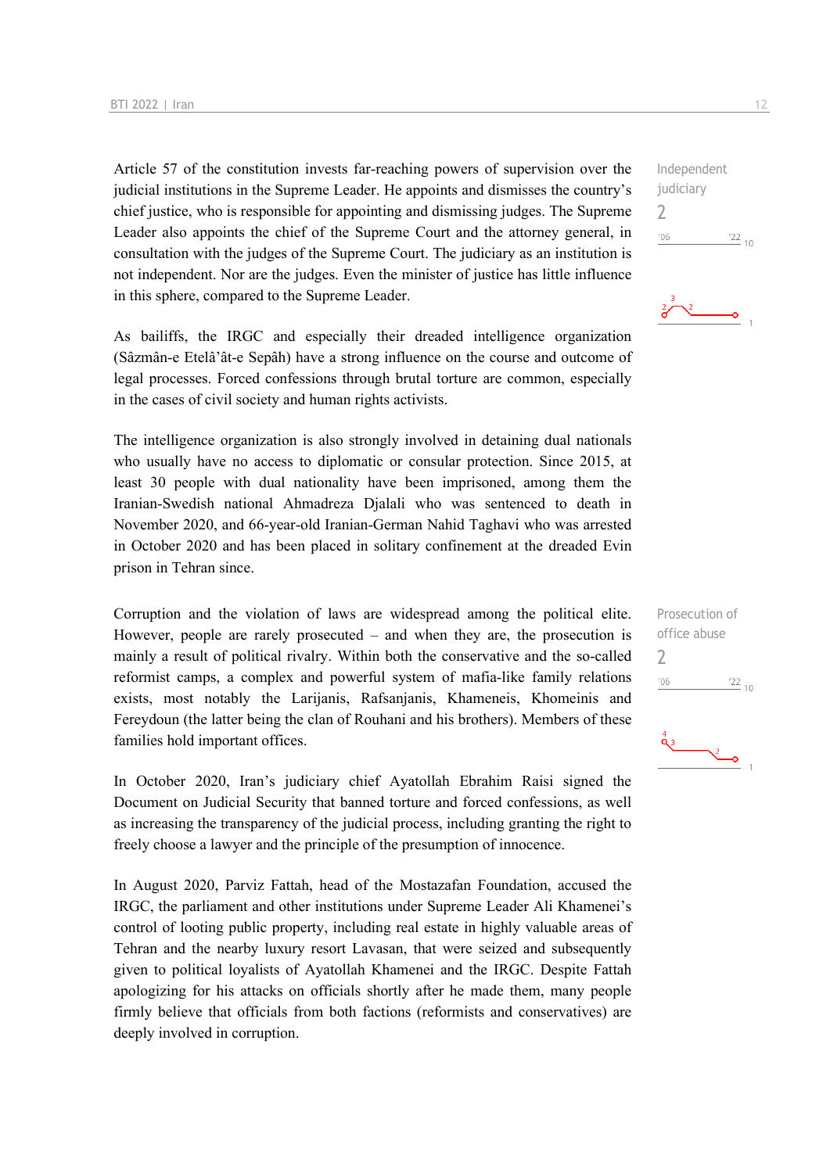Article 57 of the constitution invests far-reaching powers of supervision over the judicial institutions in the Supreme Leader. He appoints and dismisses the country's chief justice, who is responsible for appointing and dismissing judges. The Supreme Leader also appoints the chief of the Supreme Court and the attorney general, in consultation with the judges of the Supreme Court. The judiciary as an institution is not independent. Nor are the judges. Even the minister of justice has little influence in this sphere, compared to the Supreme Leader.

As bailiffs, the IRGC and especially their dreaded intelligence organization (Sâzmân-e Etelâ'ât-e Sepâh) have a strong influence on the course and outcome of legal processes. Forced confessions through brutal torture are common, especially in the cases of civil society and human rights activists.

The intelligence organization is also strongly involved in detaining dual nationals who usually have no access to diplomatic or consular protection. Since 2015, at least 30 people with dual nationality have been imprisoned, among them the Iranian-Swedish national Ahmadreza Djalali who was sentenced to death in November 2020, and 66-year-old Iranian-German Nahid Taghavi who was arrested in October 2020 and has been placed in solitary confinement at the dreaded Evin prison in Tehran since.

Corruption and the violation of laws are widespread among the political elite. However, people are rarely prosecuted – and when they are, the prosecution is mainly a result of political rivalry. Within both the conservative and the so-called reformist camps, a complex and powerful system of mafia-like family relations exists, most notably the Larijanis, Rafsanjanis, Khameneis, Khomeinis and Fereydoun (the latter being the clan of Rouhani and his brothers). Members of these families hold important offices.

In October 2020, Iran's judiciary chief Ayatollah Ebrahim Raisi signed the Document on Judicial Security that banned torture and forced confessions, as well as increasing the transparency of the judicial process, including granting the right to freely choose a lawyer and the principle of the presumption of innocence.

In August 2020, Parviz Fattah, head of the Mostazafan Foundation, accused the IRGC, the parliament and other institutions under Supreme Leader Ali Khamenei's control of looting public property, including real estate in highly valuable areas of Tehran and the nearby luxury resort Lavasan, that were seized and subsequently given to political loyalists of Ayatollah Khamenei and the IRGC. Despite Fattah apologizing for his attacks on officials shortly after he made them, many people firmly believe that officials from both factions (reformists and conservatives) are deeply involved in corruption.

Independent judiciary  $\overline{\phantom{0}}$  $^{\prime}06$  $\frac{22}{10}$ 

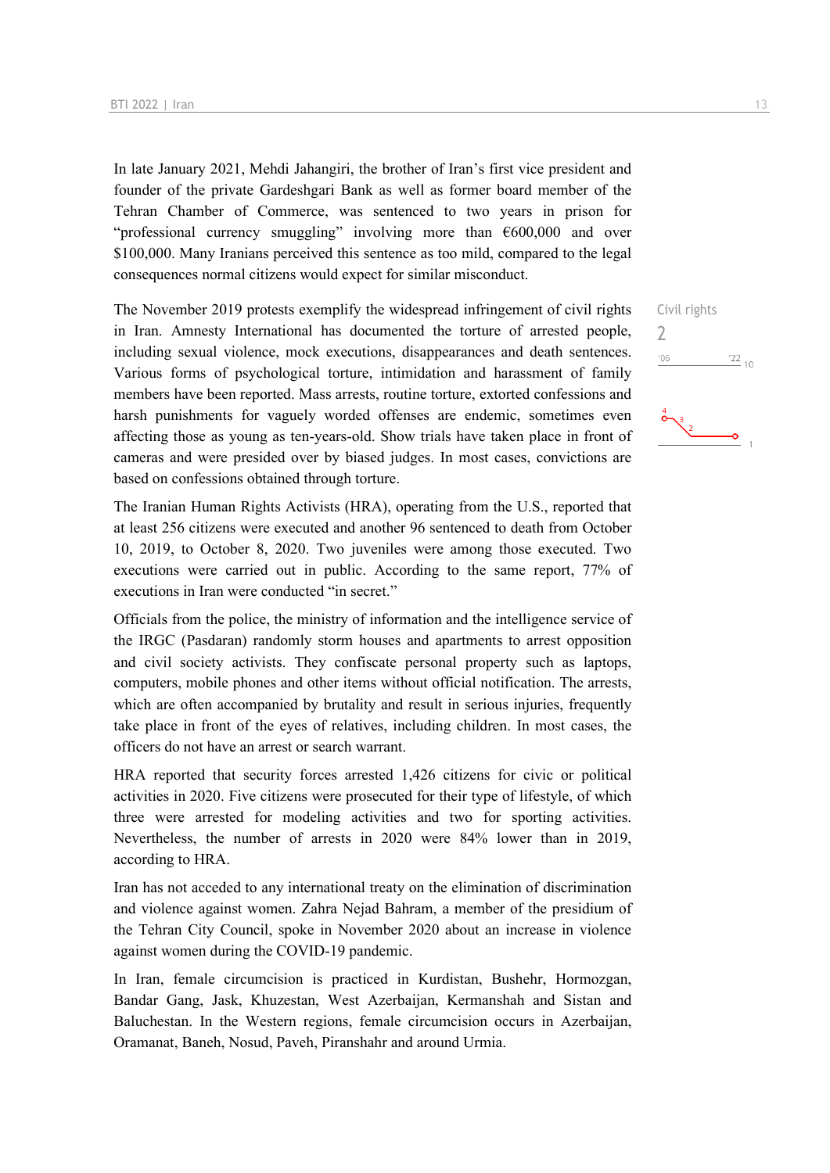In late January 2021, Mehdi Jahangiri, the brother of Iran's first vice president and founder of the private Gardeshgari Bank as well as former board member of the Tehran Chamber of Commerce, was sentenced to two years in prison for "professional currency smuggling" involving more than €600,000 and over \$100,000. Many Iranians perceived this sentence as too mild, compared to the legal consequences normal citizens would expect for similar misconduct.

The November 2019 protests exemplify the widespread infringement of civil rights in Iran. Amnesty International has documented the torture of arrested people, including sexual violence, mock executions, disappearances and death sentences. Various forms of psychological torture, intimidation and harassment of family members have been reported. Mass arrests, routine torture, extorted confessions and harsh punishments for vaguely worded offenses are endemic, sometimes even affecting those as young as ten-years-old. Show trials have taken place in front of cameras and were presided over by biased judges. In most cases, convictions are based on confessions obtained through torture.

The Iranian Human Rights Activists (HRA), operating from the U.S., reported that at least 256 citizens were executed and another 96 sentenced to death from October 10, 2019, to October 8, 2020. Two juveniles were among those executed. Two executions were carried out in public. According to the same report, 77% of executions in Iran were conducted "in secret."

Officials from the police, the ministry of information and the intelligence service of the IRGC (Pasdaran) randomly storm houses and apartments to arrest opposition and civil society activists. They confiscate personal property such as laptops, computers, mobile phones and other items without official notification. The arrests, which are often accompanied by brutality and result in serious injuries, frequently take place in front of the eyes of relatives, including children. In most cases, the officers do not have an arrest or search warrant.

HRA reported that security forces arrested 1,426 citizens for civic or political activities in 2020. Five citizens were prosecuted for their type of lifestyle, of which three were arrested for modeling activities and two for sporting activities. Nevertheless, the number of arrests in 2020 were 84% lower than in 2019, according to HRA.

Iran has not acceded to any international treaty on the elimination of discrimination and violence against women. Zahra Nejad Bahram, a member of the presidium of the Tehran City Council, spoke in November 2020 about an increase in violence against women during the COVID-19 pandemic.

In Iran, female circumcision is practiced in Kurdistan, Bushehr, Hormozgan, Bandar Gang, Jask, Khuzestan, West Azerbaijan, Kermanshah and Sistan and Baluchestan. In the Western regions, female circumcision occurs in Azerbaijan, Oramanat, Baneh, Nosud, Paveh, Piranshahr and around Urmia.

Civil rights

 $\frac{22}{10}$ 

 $\gamma$  $'06$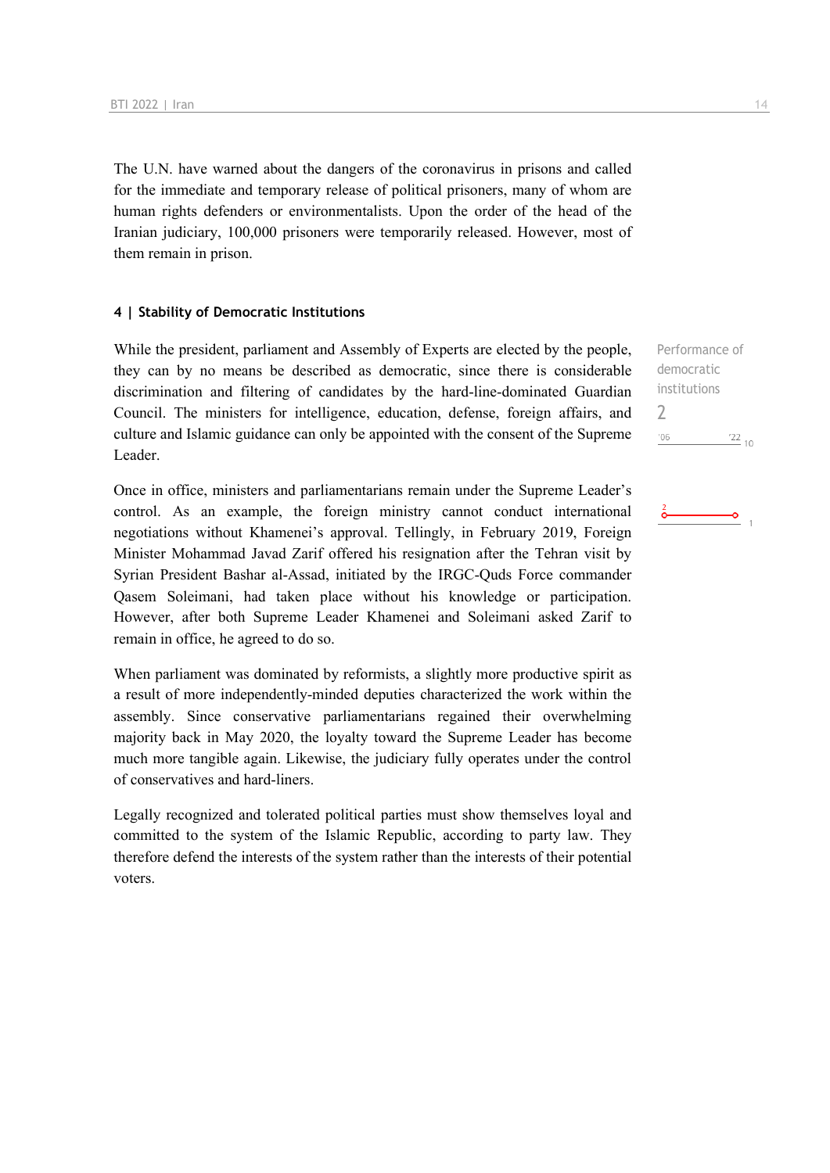The U.N. have warned about the dangers of the coronavirus in prisons and called for the immediate and temporary release of political prisoners, many of whom are human rights defenders or environmentalists. Upon the order of the head of the Iranian judiciary, 100,000 prisoners were temporarily released. However, most of them remain in prison.

#### **4 | Stability of Democratic Institutions**

While the president, parliament and Assembly of Experts are elected by the people, they can by no means be described as democratic, since there is considerable discrimination and filtering of candidates by the hard-line-dominated Guardian Council. The ministers for intelligence, education, defense, foreign affairs, and culture and Islamic guidance can only be appointed with the consent of the Supreme Leader.

Once in office, ministers and parliamentarians remain under the Supreme Leader's control. As an example, the foreign ministry cannot conduct international negotiations without Khamenei's approval. Tellingly, in February 2019, Foreign Minister Mohammad Javad Zarif offered his resignation after the Tehran visit by Syrian President Bashar al-Assad, initiated by the IRGC-Quds Force commander Qasem Soleimani, had taken place without his knowledge or participation. However, after both Supreme Leader Khamenei and Soleimani asked Zarif to remain in office, he agreed to do so.

When parliament was dominated by reformists, a slightly more productive spirit as a result of more independently-minded deputies characterized the work within the assembly. Since conservative parliamentarians regained their overwhelming majority back in May 2020, the loyalty toward the Supreme Leader has become much more tangible again. Likewise, the judiciary fully operates under the control of conservatives and hard-liners.

Legally recognized and tolerated political parties must show themselves loyal and committed to the system of the Islamic Republic, according to party law. They therefore defend the interests of the system rather than the interests of their potential voters.

Performance of democratic institutions 2 $'06$  $122_{10}$ 

۰Ó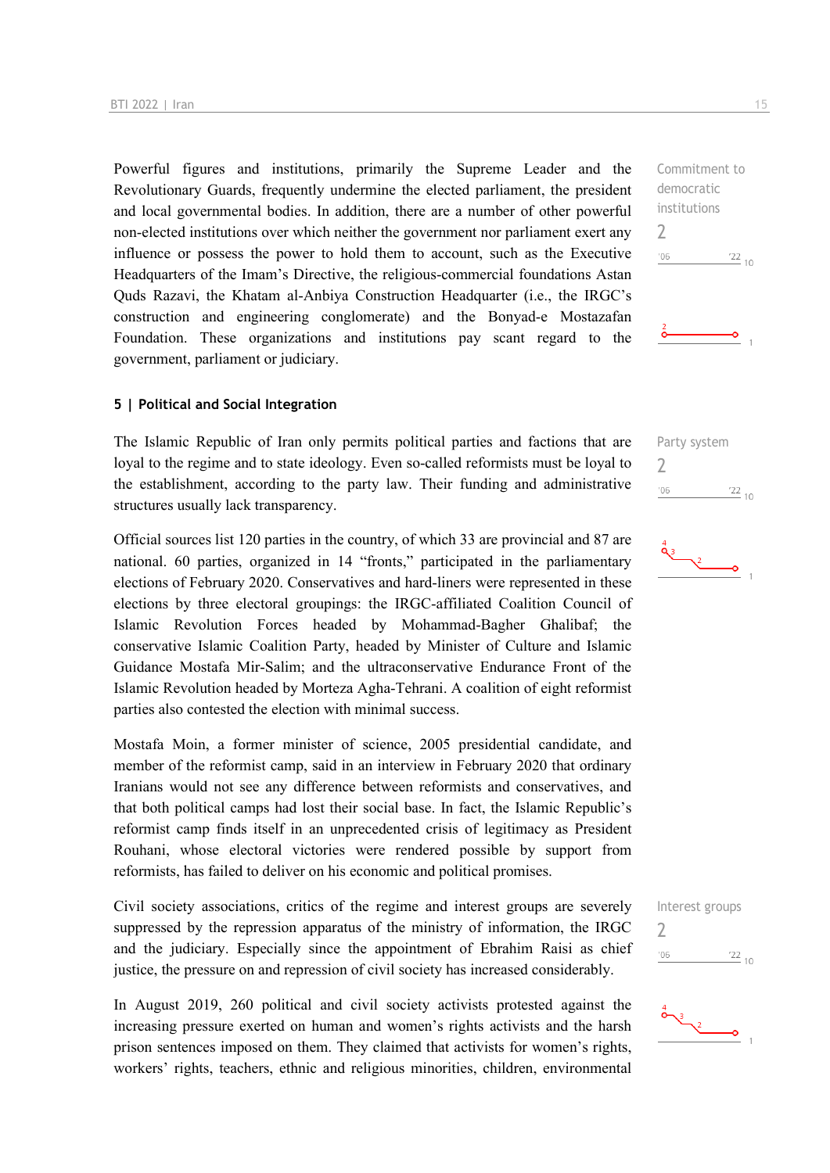Powerful figures and institutions, primarily the Supreme Leader and the Revolutionary Guards, frequently undermine the elected parliament, the president and local governmental bodies. In addition, there are a number of other powerful non-elected institutions over which neither the government nor parliament exert any influence or possess the power to hold them to account, such as the Executive Headquarters of the Imam's Directive, the religious-commercial foundations Astan Quds Razavi, the Khatam al-Anbiya Construction Headquarter (i.e., the IRGC's construction and engineering conglomerate) and the Bonyad-e Mostazafan Foundation. These organizations and institutions pay scant regard to the government, parliament or judiciary.

#### **5 | Political and Social Integration**

The Islamic Republic of Iran only permits political parties and factions that are loyal to the regime and to state ideology. Even so-called reformists must be loyal to the establishment, according to the party law. Their funding and administrative structures usually lack transparency.

Official sources list 120 parties in the country, of which 33 are provincial and 87 are national. 60 parties, organized in 14 "fronts," participated in the parliamentary elections of February 2020. Conservatives and hard-liners were represented in these elections by three electoral groupings: the IRGC-affiliated Coalition Council of Islamic Revolution Forces headed by Mohammad-Bagher Ghalibaf; the conservative Islamic Coalition Party, headed by Minister of Culture and Islamic Guidance Mostafa Mir-Salim; and the ultraconservative Endurance Front of the Islamic Revolution headed by Morteza Agha-Tehrani. A coalition of eight reformist parties also contested the election with minimal success.

Mostafa Moin, a former minister of science, 2005 presidential candidate, and member of the reformist camp, said in an interview in February 2020 that ordinary Iranians would not see any difference between reformists and conservatives, and that both political camps had lost their social base. In fact, the Islamic Republic's reformist camp finds itself in an unprecedented crisis of legitimacy as President Rouhani, whose electoral victories were rendered possible by support from reformists, has failed to deliver on his economic and political promises.

Civil society associations, critics of the regime and interest groups are severely suppressed by the repression apparatus of the ministry of information, the IRGC and the judiciary. Especially since the appointment of Ebrahim Raisi as chief justice, the pressure on and repression of civil society has increased considerably.

In August 2019, 260 political and civil society activists protested against the increasing pressure exerted on human and women's rights activists and the harsh prison sentences imposed on them. They claimed that activists for women's rights, workers' rights, teachers, ethnic and religious minorities, children, environmental Commitment to democratic institutions 2  $-06$  $\frac{22}{10}$ 







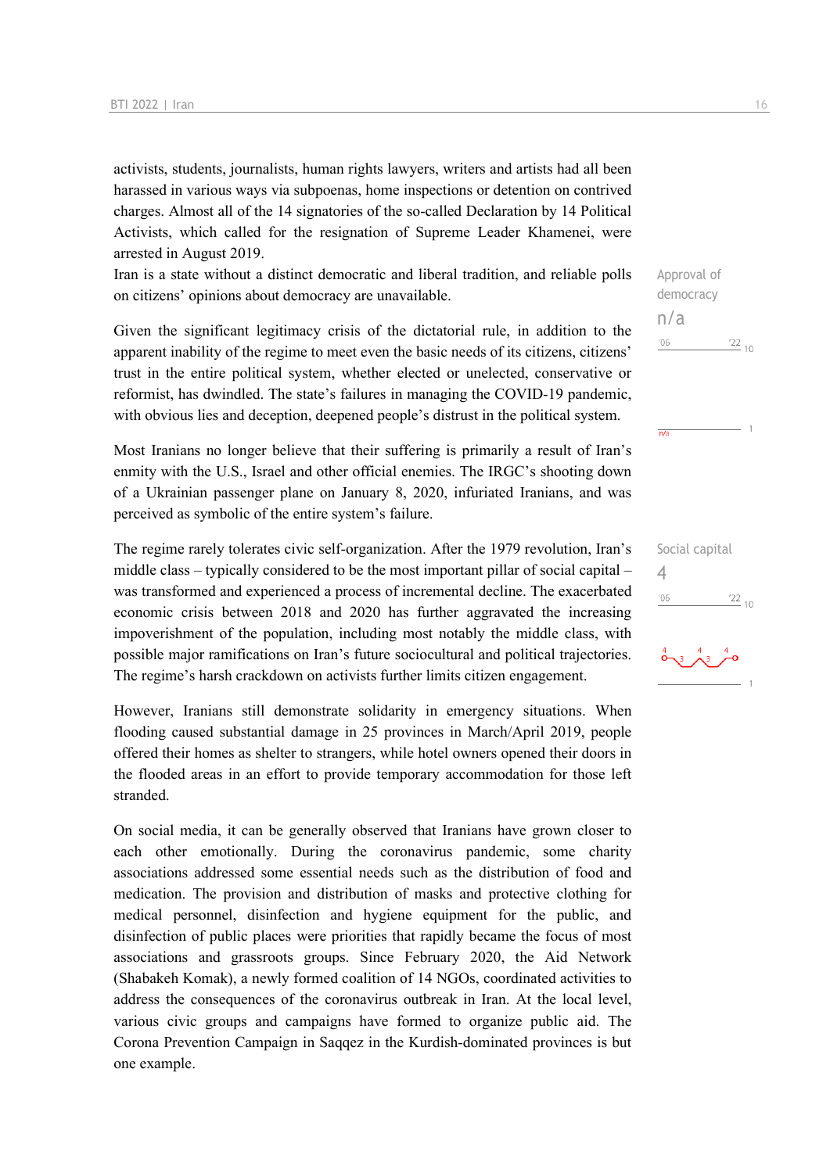activists, students, journalists, human rights lawyers, writers and artists had all been harassed in various ways via subpoenas, home inspections or detention on contrived charges. Almost all of the 14 signatories of the so-called Declaration by 14 Political Activists, which called for the resignation of Supreme Leader Khamenei, were arrested in August 2019.

Iran is a state without a distinct democratic and liberal tradition, and reliable polls on citizens' opinions about democracy are unavailable.

Given the significant legitimacy crisis of the dictatorial rule, in addition to the apparent inability of the regime to meet even the basic needs of its citizens, citizens' trust in the entire political system, whether elected or unelected, conservative or reformist, has dwindled. The state's failures in managing the COVID-19 pandemic, with obvious lies and deception, deepened people's distrust in the political system.

Most Iranians no longer believe that their suffering is primarily a result of Iran's enmity with the U.S., Israel and other official enemies. The IRGC's shooting down of a Ukrainian passenger plane on January 8, 2020, infuriated Iranians, and was perceived as symbolic of the entire system's failure.

The regime rarely tolerates civic self-organization. After the 1979 revolution, Iran's middle class – typically considered to be the most important pillar of social capital – was transformed and experienced a process of incremental decline. The exacerbated economic crisis between 2018 and 2020 has further aggravated the increasing impoverishment of the population, including most notably the middle class, with possible major ramifications on Iran's future sociocultural and political trajectories. The regime's harsh crackdown on activists further limits citizen engagement.

However, Iranians still demonstrate solidarity in emergency situations. When flooding caused substantial damage in 25 provinces in March/April 2019, people offered their homes as shelter to strangers, while hotel owners opened their doors in the flooded areas in an effort to provide temporary accommodation for those left stranded.

On social media, it can be generally observed that Iranians have grown closer to each other emotionally. During the coronavirus pandemic, some charity associations addressed some essential needs such as the distribution of food and medication. The provision and distribution of masks and protective clothing for medical personnel, disinfection and hygiene equipment for the public, and disinfection of public places were priorities that rapidly became the focus of most associations and grassroots groups. Since February 2020, the Aid Network (Shabakeh Komak), a newly formed coalition of 14 NGOs, coordinated activities to address the consequences of the coronavirus outbreak in Iran. At the local level, various civic groups and campaigns have formed to organize public aid. The Corona Prevention Campaign in Saqqez in the Kurdish-dominated provinces is but one example.

Approval of democracy

 $\frac{22}{10}$ 

 $\frac{22}{10}$ 

Social capital

4

 $'06$ 

n/a

 $^{\prime}06$ 

 $\overline{n/a}$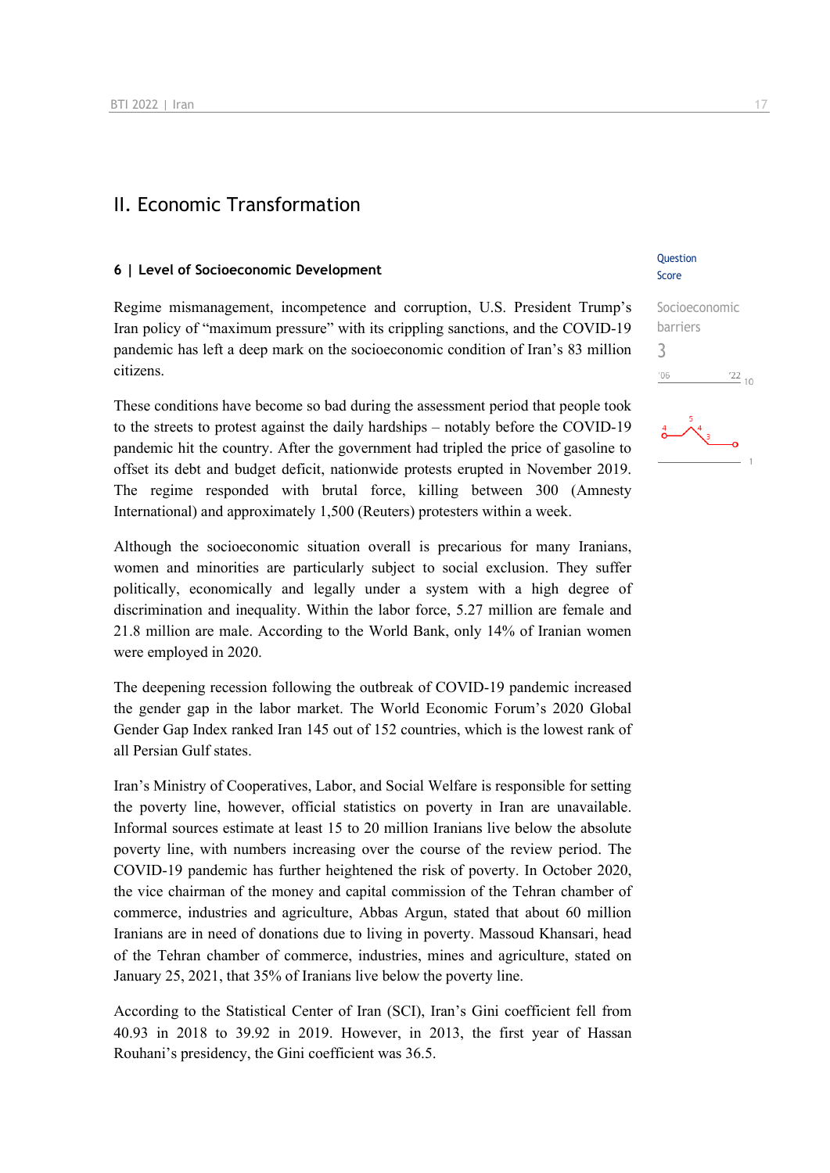### II. Economic Transformation

#### **6 | Level of Socioeconomic Development**

Regime mismanagement, incompetence and corruption, U.S. President Trump's Iran policy of "maximum pressure" with its crippling sanctions, and the COVID-19 pandemic has left a deep mark on the socioeconomic condition of Iran's 83 million citizens.

These conditions have become so bad during the assessment period that people took to the streets to protest against the daily hardships – notably before the COVID-19 pandemic hit the country. After the government had tripled the price of gasoline to offset its debt and budget deficit, nationwide protests erupted in November 2019. The regime responded with brutal force, killing between 300 (Amnesty International) and approximately 1,500 (Reuters) protesters within a week.

Although the socioeconomic situation overall is precarious for many Iranians, women and minorities are particularly subject to social exclusion. They suffer politically, economically and legally under a system with a high degree of discrimination and inequality. Within the labor force, 5.27 million are female and 21.8 million are male. According to the World Bank, only 14% of Iranian women were employed in 2020.

The deepening recession following the outbreak of COVID-19 pandemic increased the gender gap in the labor market. The World Economic Forum's 2020 Global Gender Gap Index ranked Iran 145 out of 152 countries, which is the lowest rank of all Persian Gulf states.

Iran's Ministry of Cooperatives, Labor, and Social Welfare is responsible for setting the poverty line, however, official statistics on poverty in Iran are unavailable. Informal sources estimate at least 15 to 20 million Iranians live below the absolute poverty line, with numbers increasing over the course of the review period. The COVID-19 pandemic has further heightened the risk of poverty. In October 2020, the vice chairman of the money and capital commission of the Tehran chamber of commerce, industries and agriculture, Abbas Argun, stated that about 60 million Iranians are in need of donations due to living in poverty. Massoud Khansari, head of the Tehran chamber of commerce, industries, mines and agriculture, stated on January 25, 2021, that 35% of Iranians live below the poverty line.

According to the Statistical Center of Iran (SCI), Iran's Gini coefficient fell from 40.93 in 2018 to 39.92 in 2019. However, in 2013, the first year of Hassan Rouhani's presidency, the Gini coefficient was 36.5.

#### Question Score

#### Socioeconomic barriers 3 $^{\prime}06$  $^{22}_{-10}$

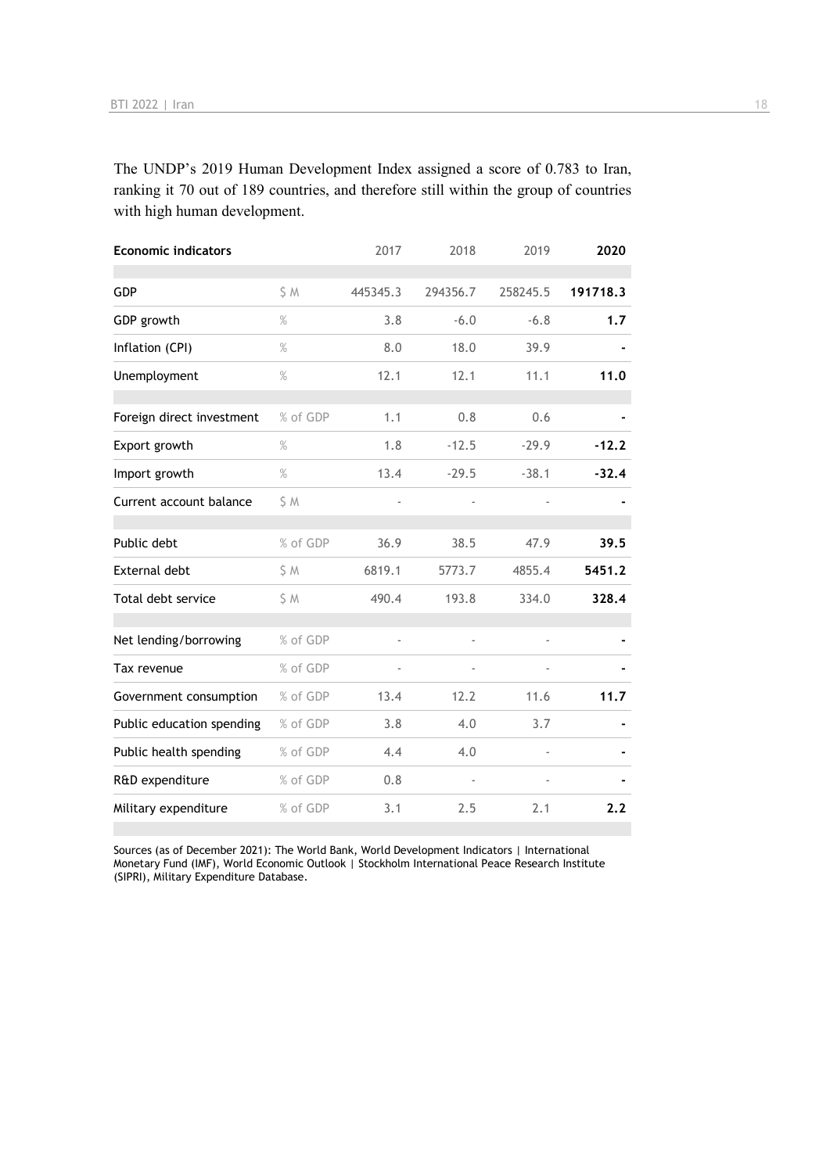The UNDP's 2019 Human Development Index assigned a score of 0.783 to Iran, ranking it 70 out of 189 countries, and therefore still within the group of countries with high human development.

| <b>Economic indicators</b> |          | 2017     | 2018     | 2019     | 2020     |
|----------------------------|----------|----------|----------|----------|----------|
| GDP                        | \$M      | 445345.3 | 294356.7 | 258245.5 | 191718.3 |
| GDP growth                 | $\%$     | 3.8      | $-6.0$   | $-6.8$   | 1,7      |
| Inflation (CPI)            | $\%$     | 8.0      | 18.0     | 39.9     |          |
| Unemployment               | %        | 12.1     | 12.1     | 11.1     | 11.0     |
| Foreign direct investment  | % of GDP | 1.1      | 0.8      | 0.6      |          |
| Export growth              | $\%$     | 1.8      | $-12.5$  | $-29.9$  | $-12.2$  |
| Import growth              | $\%$     | 13.4     | $-29.5$  | $-38.1$  | $-32.4$  |
| Current account balance    | S M      |          |          |          |          |
| Public debt                | % of GDP | 36.9     | 38.5     | 47.9     | 39.5     |
| <b>External debt</b>       | \$ M     | 6819.1   | 5773.7   | 4855.4   | 5451.2   |
| Total debt service         | \$ M     | 490.4    | 193.8    | 334.0    | 328.4    |
| Net lending/borrowing      | % of GDP |          | ä,       |          |          |
| Tax revenue                | % of GDP |          |          |          |          |
| Government consumption     | % of GDP | 13.4     | 12.2     | 11.6     | 11.7     |
| Public education spending  | % of GDP | 3.8      | 4.0      | 3.7      |          |
| Public health spending     | % of GDP | 4.4      | 4.0      |          |          |
| R&D expenditure            | % of GDP | 0.8      |          |          |          |
| Military expenditure       | % of GDP | 3.1      | 2.5      | 2.1      | 2.2      |

Sources (as of December 2021): The World Bank, World Development Indicators | International Monetary Fund (IMF), World Economic Outlook | Stockholm International Peace Research Institute (SIPRI), Military Expenditure Database.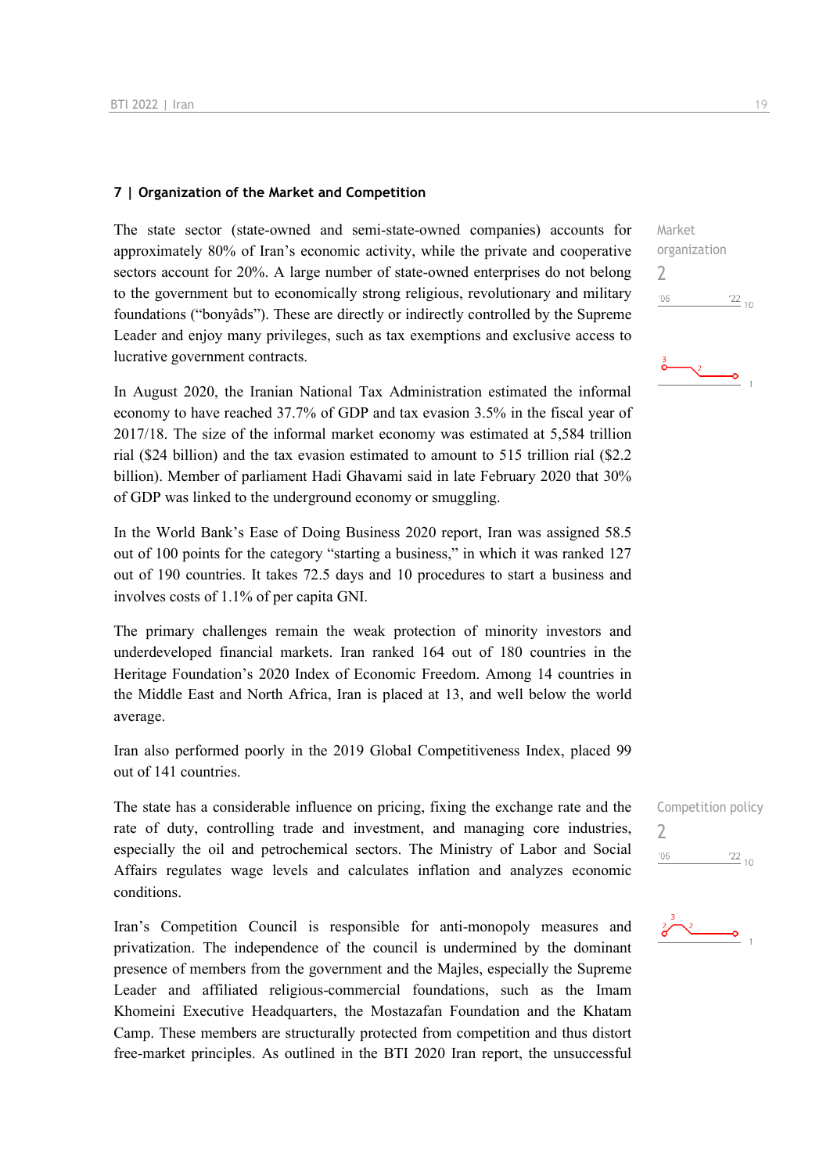#### **7 | Organization of the Market and Competition**

The state sector (state-owned and semi-state-owned companies) accounts for approximately 80% of Iran's economic activity, while the private and cooperative sectors account for 20%. A large number of state-owned enterprises do not belong to the government but to economically strong religious, revolutionary and military foundations ("bonyâds"). These are directly or indirectly controlled by the Supreme Leader and enjoy many privileges, such as tax exemptions and exclusive access to lucrative government contracts.

In August 2020, the Iranian National Tax Administration estimated the informal economy to have reached 37.7% of GDP and tax evasion 3.5% in the fiscal year of 2017/18. The size of the informal market economy was estimated at 5,584 trillion rial (\$24 billion) and the tax evasion estimated to amount to 515 trillion rial (\$2.2 billion). Member of parliament Hadi Ghavami said in late February 2020 that 30% of GDP was linked to the underground economy or smuggling.

In the World Bank's Ease of Doing Business 2020 report, Iran was assigned 58.5 out of 100 points for the category "starting a business," in which it was ranked 127 out of 190 countries. It takes 72.5 days and 10 procedures to start a business and involves costs of 1.1% of per capita GNI.

The primary challenges remain the weak protection of minority investors and underdeveloped financial markets. Iran ranked 164 out of 180 countries in the Heritage Foundation's 2020 Index of Economic Freedom. Among 14 countries in the Middle East and North Africa, Iran is placed at 13, and well below the world average.

Iran also performed poorly in the 2019 Global Competitiveness Index, placed 99 out of 141 countries.

The state has a considerable influence on pricing, fixing the exchange rate and the rate of duty, controlling trade and investment, and managing core industries, especially the oil and petrochemical sectors. The Ministry of Labor and Social Affairs regulates wage levels and calculates inflation and analyzes economic conditions.

Iran's Competition Council is responsible for anti-monopoly measures and privatization. The independence of the council is undermined by the dominant presence of members from the government and the Majles, especially the Supreme Leader and affiliated religious-commercial foundations, such as the Imam Khomeini Executive Headquarters, the Mostazafan Foundation and the Khatam Camp. These members are structurally protected from competition and thus distort free-market principles. As outlined in the BTI 2020 Iran report, the unsuccessful Market organization 2  $06'$  $\frac{22}{10}$ 



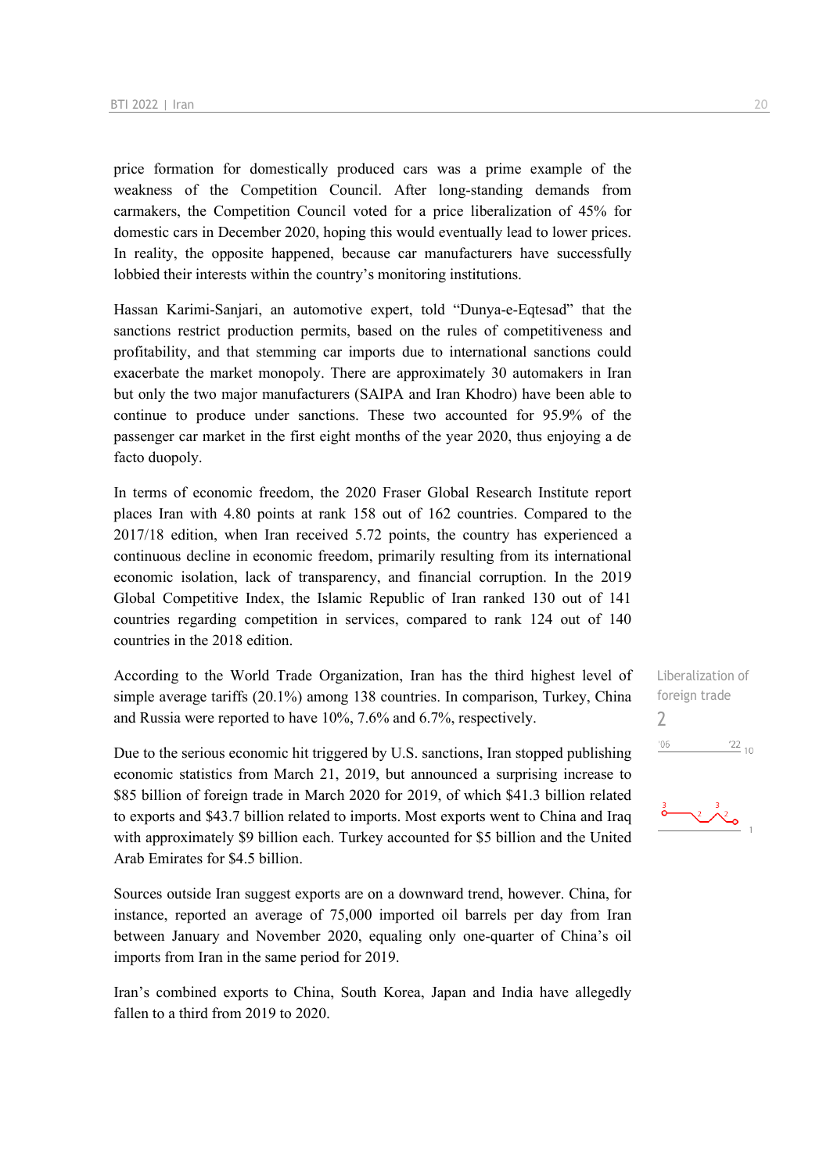price formation for domestically produced cars was a prime example of the weakness of the Competition Council. After long-standing demands from carmakers, the Competition Council voted for a price liberalization of 45% for domestic cars in December 2020, hoping this would eventually lead to lower prices. In reality, the opposite happened, because car manufacturers have successfully lobbied their interests within the country's monitoring institutions.

Hassan Karimi-Sanjari, an automotive expert, told "Dunya-e-Eqtesad" that the sanctions restrict production permits, based on the rules of competitiveness and profitability, and that stemming car imports due to international sanctions could exacerbate the market monopoly. There are approximately 30 automakers in Iran but only the two major manufacturers (SAIPA and Iran Khodro) have been able to continue to produce under sanctions. These two accounted for 95.9% of the passenger car market in the first eight months of the year 2020, thus enjoying a de facto duopoly.

In terms of economic freedom, the 2020 Fraser Global Research Institute report places Iran with 4.80 points at rank 158 out of 162 countries. Compared to the 2017/18 edition, when Iran received 5.72 points, the country has experienced a continuous decline in economic freedom, primarily resulting from its international economic isolation, lack of transparency, and financial corruption. In the 2019 Global Competitive Index, the Islamic Republic of Iran ranked 130 out of 141 countries regarding competition in services, compared to rank 124 out of 140 countries in the 2018 edition.

According to the World Trade Organization, Iran has the third highest level of simple average tariffs (20.1%) among 138 countries. In comparison, Turkey, China and Russia were reported to have 10%, 7.6% and 6.7%, respectively.

Due to the serious economic hit triggered by U.S. sanctions, Iran stopped publishing economic statistics from March 21, 2019, but announced a surprising increase to \$85 billion of foreign trade in March 2020 for 2019, of which \$41.3 billion related to exports and \$43.7 billion related to imports. Most exports went to China and Iraq with approximately \$9 billion each. Turkey accounted for \$5 billion and the United Arab Emirates for \$4.5 billion.

Sources outside Iran suggest exports are on a downward trend, however. China, for instance, reported an average of 75,000 imported oil barrels per day from Iran between January and November 2020, equaling only one-quarter of China's oil imports from Iran in the same period for 2019.

Iran's combined exports to China, South Korea, Japan and India have allegedly fallen to a third from 2019 to 2020.

Liberalization of foreign trade  $\overline{\phantom{0}}$  $\frac{22}{10}$  $^{\prime}06$ 

 $\frac{3}{2}$   $\frac{3}{2}$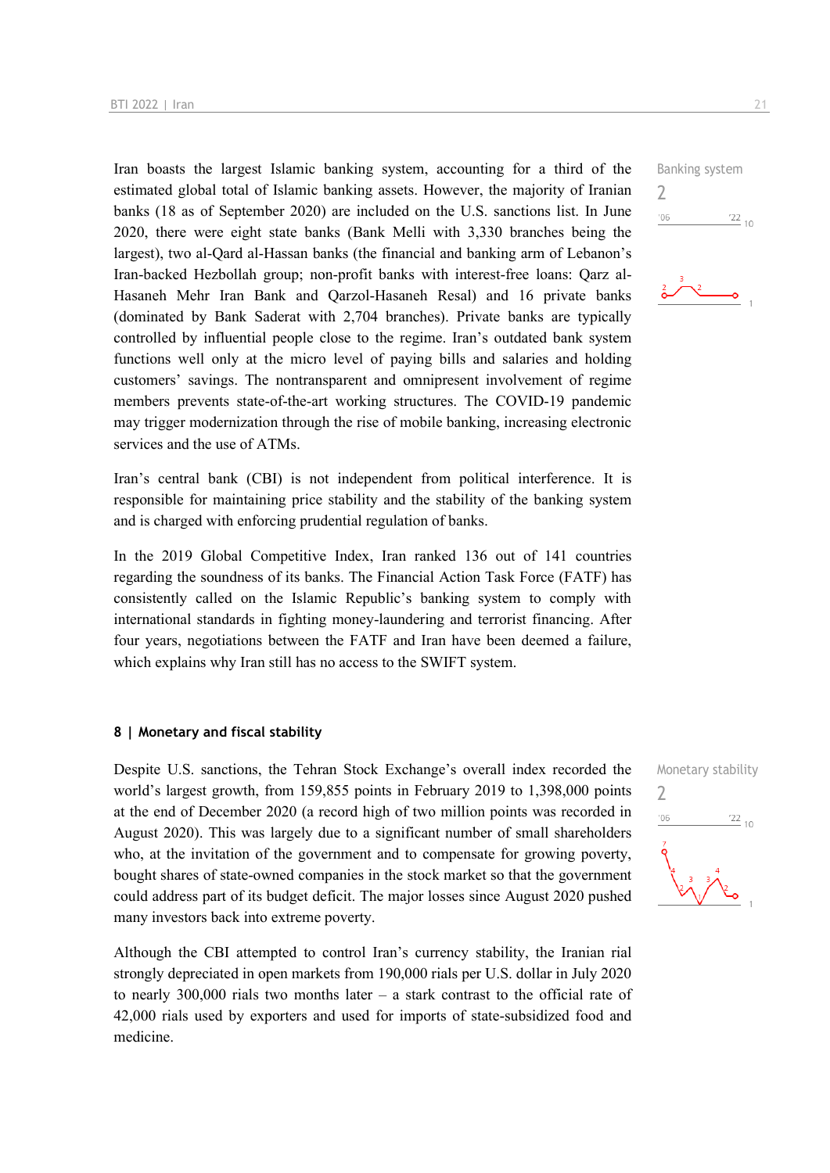Iran boasts the largest Islamic banking system, accounting for a third of the estimated global total of Islamic banking assets. However, the majority of Iranian banks (18 as of September 2020) are included on the U.S. sanctions list. In June 2020, there were eight state banks (Bank Melli with 3,330 branches being the largest), two al-Qard al-Hassan banks (the financial and banking arm of Lebanon's Iran-backed Hezbollah group; non-profit banks with interest-free loans: Qarz al-Hasaneh Mehr Iran Bank and Qarzol-Hasaneh Resal) and 16 private banks (dominated by Bank Saderat with 2,704 branches). Private banks are typically controlled by influential people close to the regime. Iran's outdated bank system functions well only at the micro level of paying bills and salaries and holding customers' savings. The nontransparent and omnipresent involvement of regime members prevents state-of-the-art working structures. The COVID-19 pandemic may trigger modernization through the rise of mobile banking, increasing electronic services and the use of ATMs.

Iran's central bank (CBI) is not independent from political interference. It is responsible for maintaining price stability and the stability of the banking system and is charged with enforcing prudential regulation of banks.

In the 2019 Global Competitive Index, Iran ranked 136 out of 141 countries regarding the soundness of its banks. The Financial Action Task Force (FATF) has consistently called on the Islamic Republic's banking system to comply with international standards in fighting money-laundering and terrorist financing. After four years, negotiations between the FATF and Iran have been deemed a failure, which explains why Iran still has no access to the SWIFT system.

#### **8 | Monetary and fiscal stability**

Despite U.S. sanctions, the Tehran Stock Exchange's overall index recorded the world's largest growth, from 159,855 points in February 2019 to 1,398,000 points at the end of December 2020 (a record high of two million points was recorded in August 2020). This was largely due to a significant number of small shareholders who, at the invitation of the government and to compensate for growing poverty, bought shares of state-owned companies in the stock market so that the government could address part of its budget deficit. The major losses since August 2020 pushed many investors back into extreme poverty.

Although the CBI attempted to control Iran's currency stability, the Iranian rial strongly depreciated in open markets from 190,000 rials per U.S. dollar in July 2020 to nearly 300,000 rials two months later – a stark contrast to the official rate of 42,000 rials used by exporters and used for imports of state-subsidized food and medicine.

Banking system





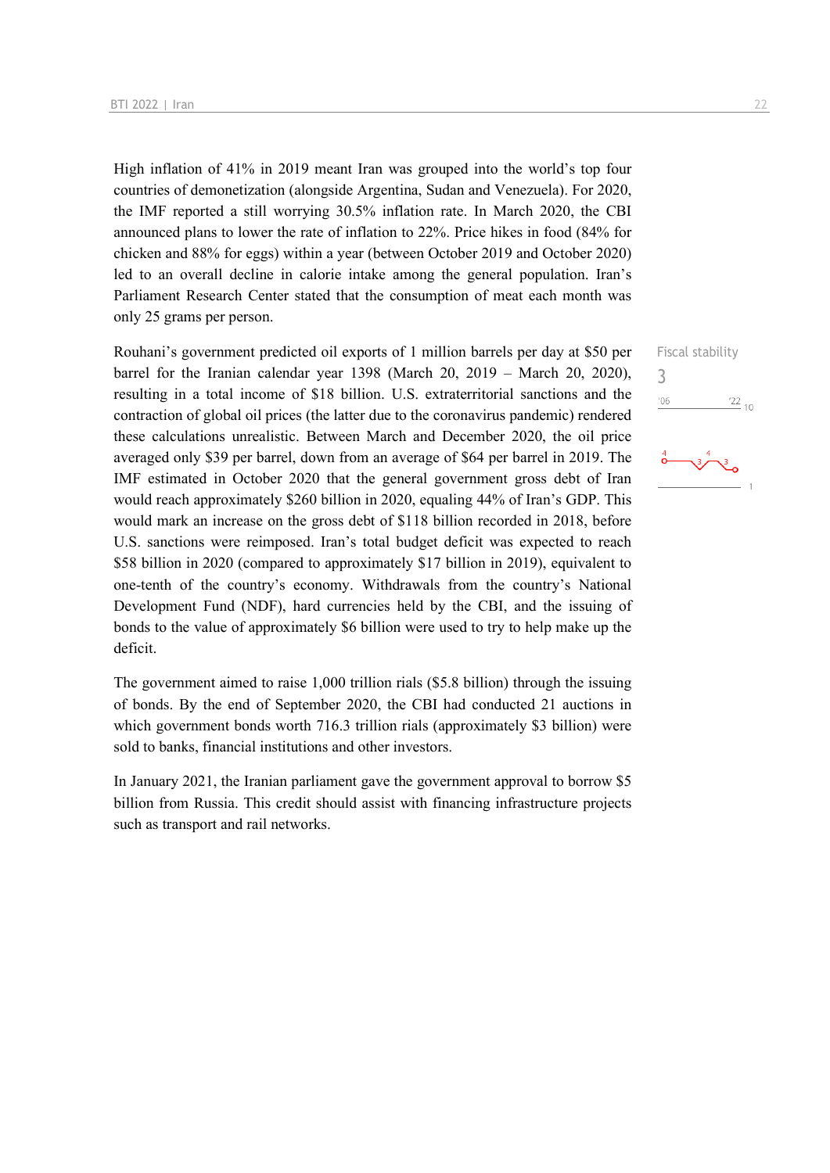High inflation of 41% in 2019 meant Iran was grouped into the world's top four countries of demonetization (alongside Argentina, Sudan and Venezuela). For 2020, the IMF reported a still worrying 30.5% inflation rate. In March 2020, the CBI announced plans to lower the rate of inflation to 22%. Price hikes in food (84% for chicken and 88% for eggs) within a year (between October 2019 and October 2020) led to an overall decline in calorie intake among the general population. Iran's Parliament Research Center stated that the consumption of meat each month was only 25 grams per person.

Rouhani's government predicted oil exports of 1 million barrels per day at \$50 per barrel for the Iranian calendar year 1398 (March 20, 2019 – March 20, 2020), resulting in a total income of \$18 billion. U.S. extraterritorial sanctions and the contraction of global oil prices (the latter due to the coronavirus pandemic) rendered these calculations unrealistic. Between March and December 2020, the oil price averaged only \$39 per barrel, down from an average of \$64 per barrel in 2019. The IMF estimated in October 2020 that the general government gross debt of Iran would reach approximately \$260 billion in 2020, equaling 44% of Iran's GDP. This would mark an increase on the gross debt of \$118 billion recorded in 2018, before U.S. sanctions were reimposed. Iran's total budget deficit was expected to reach \$58 billion in 2020 (compared to approximately \$17 billion in 2019), equivalent to one-tenth of the country's economy. Withdrawals from the country's National Development Fund (NDF), hard currencies held by the CBI, and the issuing of bonds to the value of approximately \$6 billion were used to try to help make up the deficit.

The government aimed to raise 1,000 trillion rials (\$5.8 billion) through the issuing of bonds. By the end of September 2020, the CBI had conducted 21 auctions in which government bonds worth 716.3 trillion rials (approximately \$3 billion) were sold to banks, financial institutions and other investors.

In January 2021, the Iranian parliament gave the government approval to borrow \$5 billion from Russia. This credit should assist with financing infrastructure projects such as transport and rail networks.

Fiscal stability 3 $-06$  $\frac{22}{10}$ 

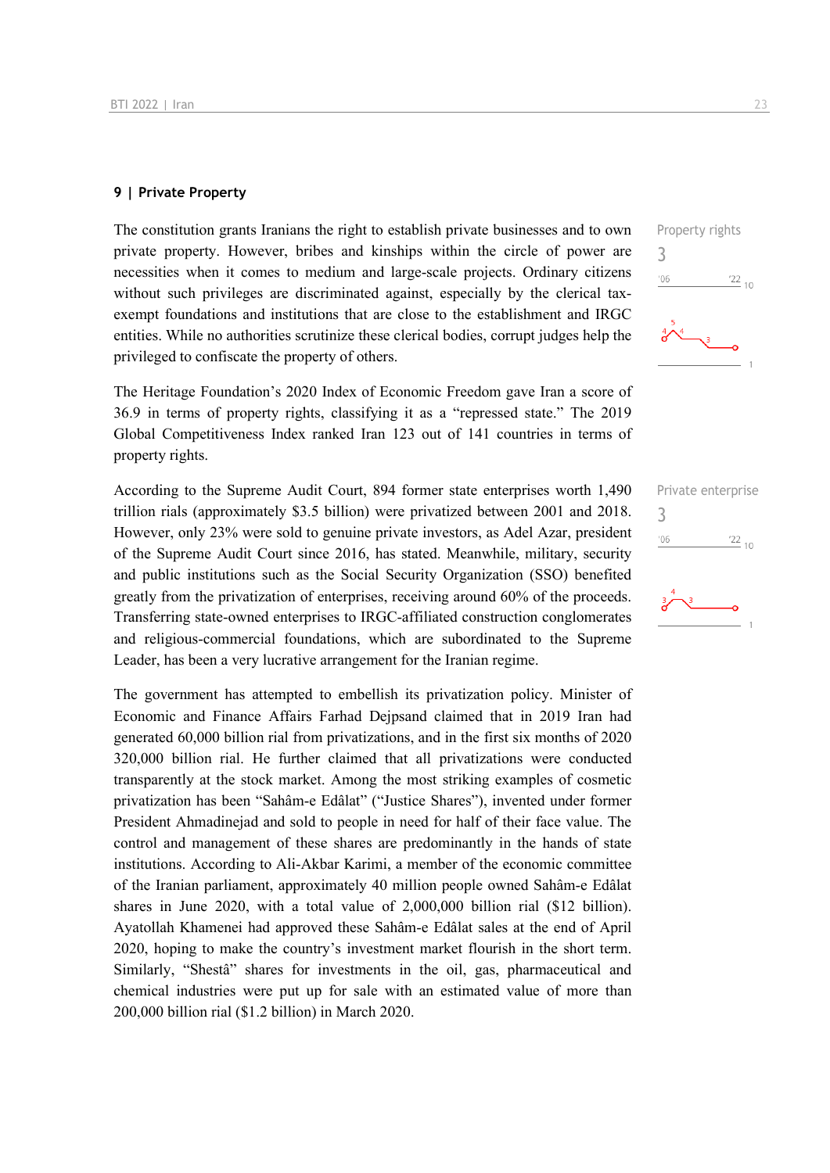#### **9 | Private Property**

The constitution grants Iranians the right to establish private businesses and to own private property. However, bribes and kinships within the circle of power are necessities when it comes to medium and large-scale projects. Ordinary citizens without such privileges are discriminated against, especially by the clerical taxexempt foundations and institutions that are close to the establishment and IRGC entities. While no authorities scrutinize these clerical bodies, corrupt judges help the privileged to confiscate the property of others.

The Heritage Foundation's 2020 Index of Economic Freedom gave Iran a score of 36.9 in terms of property rights, classifying it as a "repressed state." The 2019 Global Competitiveness Index ranked Iran 123 out of 141 countries in terms of property rights.

According to the Supreme Audit Court, 894 former state enterprises worth 1,490 trillion rials (approximately \$3.5 billion) were privatized between 2001 and 2018. However, only 23% were sold to genuine private investors, as Adel Azar, president of the Supreme Audit Court since 2016, has stated. Meanwhile, military, security and public institutions such as the Social Security Organization (SSO) benefited greatly from the privatization of enterprises, receiving around 60% of the proceeds. Transferring state-owned enterprises to IRGC-affiliated construction conglomerates and religious-commercial foundations, which are subordinated to the Supreme Leader, has been a very lucrative arrangement for the Iranian regime.

The government has attempted to embellish its privatization policy. Minister of Economic and Finance Affairs Farhad Dejpsand claimed that in 2019 Iran had generated 60,000 billion rial from privatizations, and in the first six months of 2020 320,000 billion rial. He further claimed that all privatizations were conducted transparently at the stock market. Among the most striking examples of cosmetic privatization has been "Sahâm-e Edâlat" ("Justice Shares"), invented under former President Ahmadinejad and sold to people in need for half of their face value. The control and management of these shares are predominantly in the hands of state institutions. According to Ali-Akbar Karimi, a member of the economic committee of the Iranian parliament, approximately 40 million people owned Sahâm-e Edâlat shares in June 2020, with a total value of 2,000,000 billion rial (\$12 billion). Ayatollah Khamenei had approved these Sahâm-e Edâlat sales at the end of April 2020, hoping to make the country's investment market flourish in the short term. Similarly, "Shestâ" shares for investments in the oil, gas, pharmaceutical and chemical industries were put up for sale with an estimated value of more than 200,000 billion rial (\$1.2 billion) in March 2020.

Property rights 3  $\frac{22}{10}$  $^{\prime}06$ 

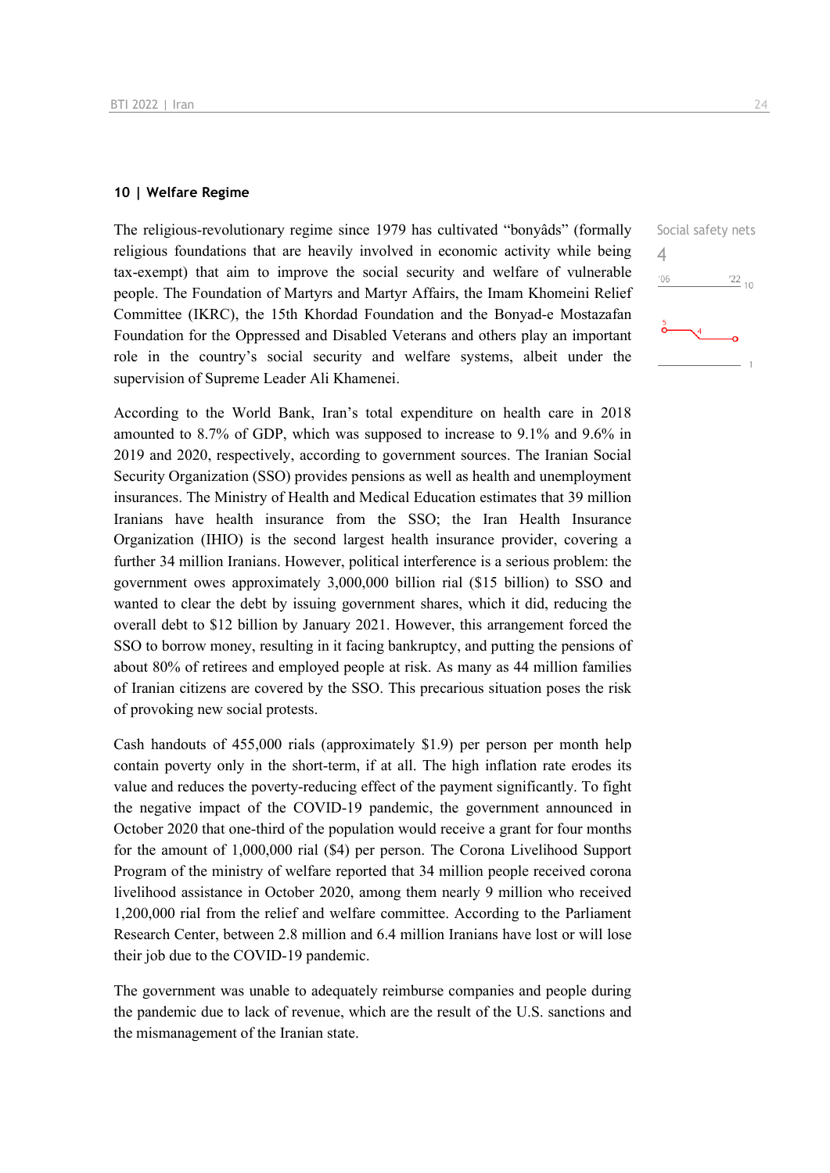#### **10 | Welfare Regime**

The religious-revolutionary regime since 1979 has cultivated "bonyâds" (formally religious foundations that are heavily involved in economic activity while being tax-exempt) that aim to improve the social security and welfare of vulnerable people. The Foundation of Martyrs and Martyr Affairs, the Imam Khomeini Relief Committee (IKRC), the 15th Khordad Foundation and the Bonyad-e Mostazafan Foundation for the Oppressed and Disabled Veterans and others play an important role in the country's social security and welfare systems, albeit under the supervision of Supreme Leader Ali Khamenei.

According to the World Bank, Iran's total expenditure on health care in 2018 amounted to 8.7% of GDP, which was supposed to increase to 9.1% and 9.6% in 2019 and 2020, respectively, according to government sources. The Iranian Social Security Organization (SSO) provides pensions as well as health and unemployment insurances. The Ministry of Health and Medical Education estimates that 39 million Iranians have health insurance from the SSO; the Iran Health Insurance Organization (IHIO) is the second largest health insurance provider, covering a further 34 million Iranians. However, political interference is a serious problem: the government owes approximately 3,000,000 billion rial (\$15 billion) to SSO and wanted to clear the debt by issuing government shares, which it did, reducing the overall debt to \$12 billion by January 2021. However, this arrangement forced the SSO to borrow money, resulting in it facing bankruptcy, and putting the pensions of about 80% of retirees and employed people at risk. As many as 44 million families of Iranian citizens are covered by the SSO. This precarious situation poses the risk of provoking new social protests.

Cash handouts of 455,000 rials (approximately \$1.9) per person per month help contain poverty only in the short-term, if at all. The high inflation rate erodes its value and reduces the poverty-reducing effect of the payment significantly. To fight the negative impact of the COVID-19 pandemic, the government announced in October 2020 that one-third of the population would receive a grant for four months for the amount of 1,000,000 rial (\$4) per person. The Corona Livelihood Support Program of the ministry of welfare reported that 34 million people received corona livelihood assistance in October 2020, among them nearly 9 million who received 1,200,000 rial from the relief and welfare committee. According to the Parliament Research Center, between 2.8 million and 6.4 million Iranians have lost or will lose their job due to the COVID-19 pandemic.

The government was unable to adequately reimburse companies and people during the pandemic due to lack of revenue, which are the result of the U.S. sanctions and the mismanagement of the Iranian state.

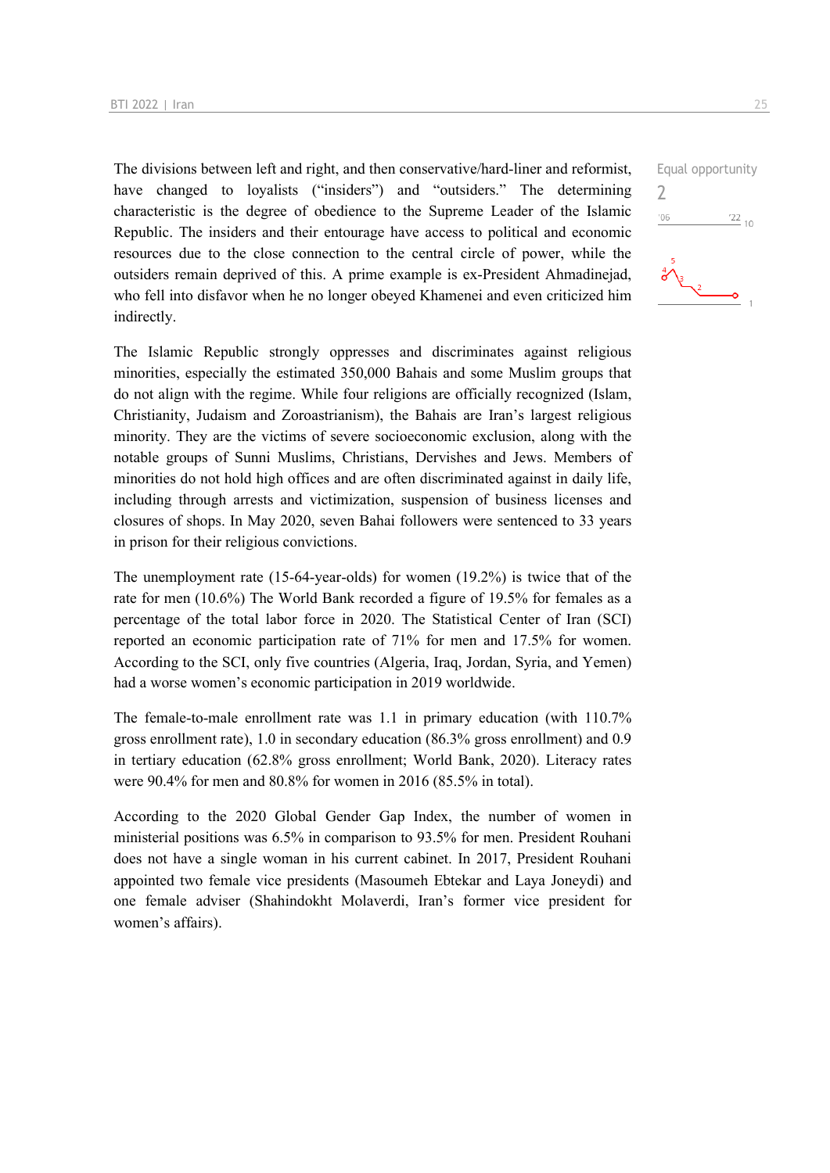The divisions between left and right, and then conservative/hard-liner and reformist, have changed to loyalists ("insiders") and "outsiders." The determining characteristic is the degree of obedience to the Supreme Leader of the Islamic Republic. The insiders and their entourage have access to political and economic resources due to the close connection to the central circle of power, while the outsiders remain deprived of this. A prime example is ex-President Ahmadinejad, who fell into disfavor when he no longer obeyed Khamenei and even criticized him indirectly.

The Islamic Republic strongly oppresses and discriminates against religious minorities, especially the estimated 350,000 Bahais and some Muslim groups that do not align with the regime. While four religions are officially recognized (Islam, Christianity, Judaism and Zoroastrianism), the Bahais are Iran's largest religious minority. They are the victims of severe socioeconomic exclusion, along with the notable groups of Sunni Muslims, Christians, Dervishes and Jews. Members of minorities do not hold high offices and are often discriminated against in daily life, including through arrests and victimization, suspension of business licenses and closures of shops. In May 2020, seven Bahai followers were sentenced to 33 years in prison for their religious convictions.

The unemployment rate (15-64-year-olds) for women (19.2%) is twice that of the rate for men (10.6%) The World Bank recorded a figure of 19.5% for females as a percentage of the total labor force in 2020. The Statistical Center of Iran (SCI) reported an economic participation rate of 71% for men and 17.5% for women. According to the SCI, only five countries (Algeria, Iraq, Jordan, Syria, and Yemen) had a worse women's economic participation in 2019 worldwide.

The female-to-male enrollment rate was 1.1 in primary education (with 110.7% gross enrollment rate), 1.0 in secondary education (86.3% gross enrollment) and 0.9 in tertiary education (62.8% gross enrollment; World Bank, 2020). Literacy rates were 90.4% for men and 80.8% for women in 2016 (85.5% in total).

According to the 2020 Global Gender Gap Index, the number of women in ministerial positions was 6.5% in comparison to 93.5% for men. President Rouhani does not have a single woman in his current cabinet. In 2017, President Rouhani appointed two female vice presidents (Masoumeh Ebtekar and Laya Joneydi) and one female adviser (Shahindokht Molaverdi, Iran's former vice president for women's affairs).

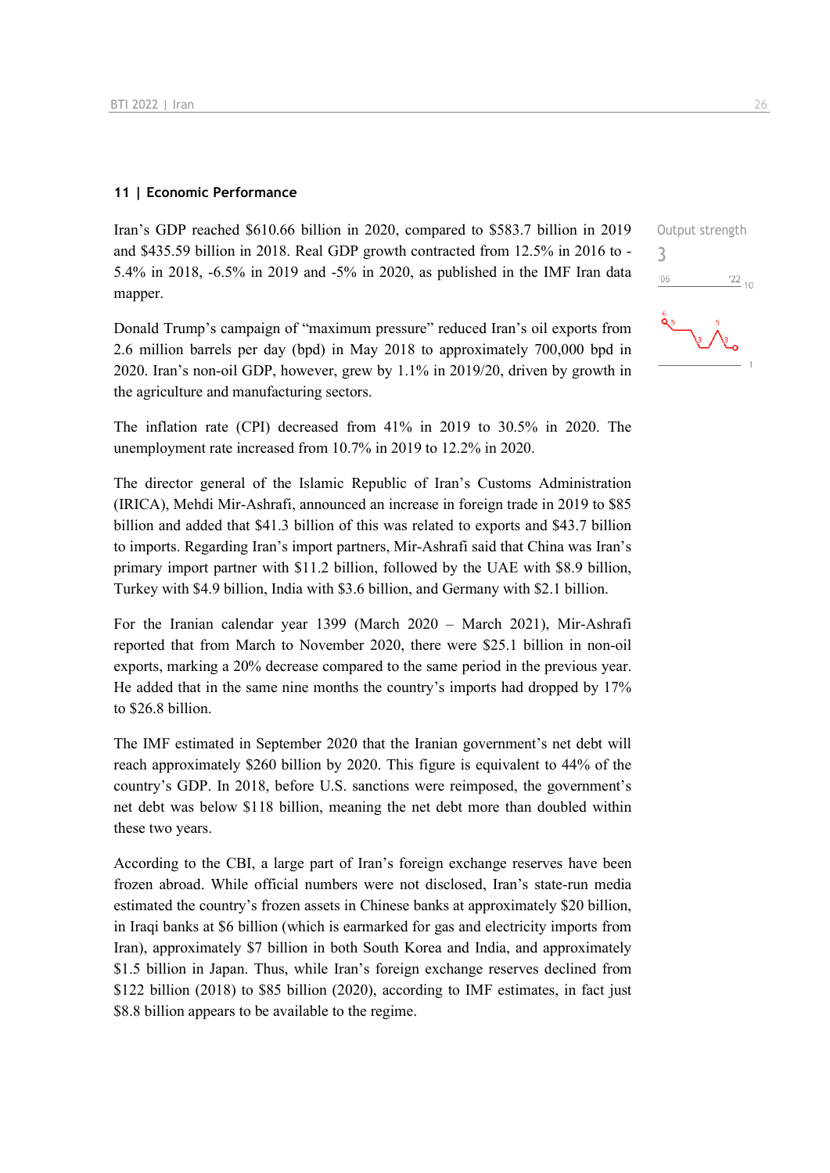#### **11 | Economic Performance**

Iran's GDP reached \$610.66 billion in 2020, compared to \$583.7 billion in 2019 and \$435.59 billion in 2018. Real GDP growth contracted from 12.5% in 2016 to - 5.4% in 2018, -6.5% in 2019 and -5% in 2020, as published in the IMF Iran data mapper.

Donald Trump's campaign of "maximum pressure" reduced Iran's oil exports from 2.6 million barrels per day (bpd) in May 2018 to approximately 700,000 bpd in 2020. Iran's non-oil GDP, however, grew by 1.1% in 2019/20, driven by growth in the agriculture and manufacturing sectors.

The inflation rate (CPI) decreased from 41% in 2019 to 30.5% in 2020. The unemployment rate increased from 10.7% in 2019 to 12.2% in 2020.

The director general of the Islamic Republic of Iran's Customs Administration (IRICA), Mehdi Mir-Ashrafi, announced an increase in foreign trade in 2019 to \$85 billion and added that \$41.3 billion of this was related to exports and \$43.7 billion to imports. Regarding Iran's import partners, Mir-Ashrafi said that China was Iran's primary import partner with \$11.2 billion, followed by the UAE with \$8.9 billion, Turkey with \$4.9 billion, India with \$3.6 billion, and Germany with \$2.1 billion.

For the Iranian calendar year 1399 (March 2020 – March 2021), Mir-Ashrafi reported that from March to November 2020, there were \$25.1 billion in non-oil exports, marking a 20% decrease compared to the same period in the previous year. He added that in the same nine months the country's imports had dropped by 17% to \$26.8 billion.

The IMF estimated in September 2020 that the Iranian government's net debt will reach approximately \$260 billion by 2020. This figure is equivalent to 44% of the country's GDP. In 2018, before U.S. sanctions were reimposed, the government's net debt was below \$118 billion, meaning the net debt more than doubled within these two years.

According to the CBI, a large part of Iran's foreign exchange reserves have been frozen abroad. While official numbers were not disclosed, Iran's state-run media estimated the country's frozen assets in Chinese banks at approximately \$20 billion, in Iraqi banks at \$6 billion (which is earmarked for gas and electricity imports from Iran), approximately \$7 billion in both South Korea and India, and approximately \$1.5 billion in Japan. Thus, while Iran's foreign exchange reserves declined from \$122 billion (2018) to \$85 billion (2020), according to IMF estimates, in fact just \$8.8 billion appears to be available to the regime.

 $\frac{22}{10}$ 



3

 $-06$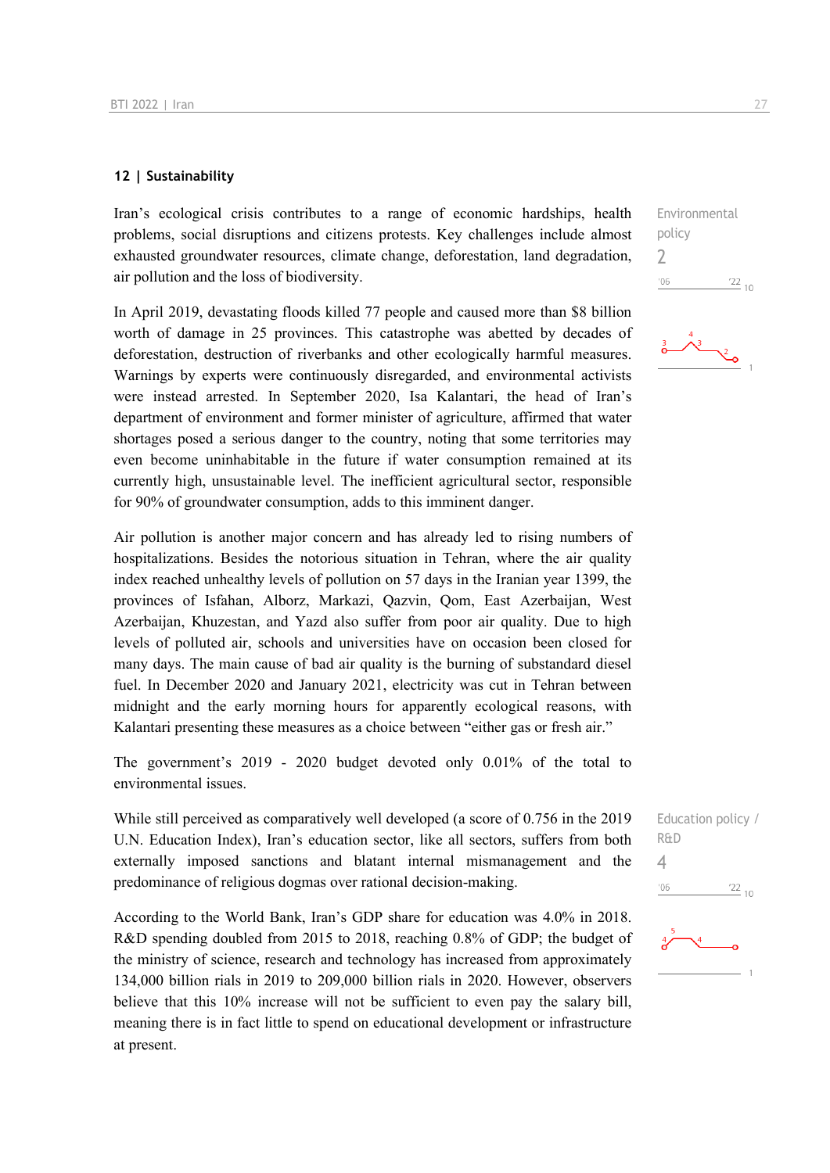#### **12 | Sustainability**

Iran's ecological crisis contributes to a range of economic hardships, health problems, social disruptions and citizens protests. Key challenges include almost exhausted groundwater resources, climate change, deforestation, land degradation, air pollution and the loss of biodiversity.

In April 2019, devastating floods killed 77 people and caused more than \$8 billion worth of damage in 25 provinces. This catastrophe was abetted by decades of deforestation, destruction of riverbanks and other ecologically harmful measures. Warnings by experts were continuously disregarded, and environmental activists were instead arrested. In September 2020, Isa Kalantari, the head of Iran's department of environment and former minister of agriculture, affirmed that water shortages posed a serious danger to the country, noting that some territories may even become uninhabitable in the future if water consumption remained at its currently high, unsustainable level. The inefficient agricultural sector, responsible for 90% of groundwater consumption, adds to this imminent danger.

Air pollution is another major concern and has already led to rising numbers of hospitalizations. Besides the notorious situation in Tehran, where the air quality index reached unhealthy levels of pollution on 57 days in the Iranian year 1399, the provinces of Isfahan, Alborz, Markazi, Qazvin, Qom, East Azerbaijan, West Azerbaijan, Khuzestan, and Yazd also suffer from poor air quality. Due to high levels of polluted air, schools and universities have on occasion been closed for many days. The main cause of bad air quality is the burning of substandard diesel fuel. In December 2020 and January 2021, electricity was cut in Tehran between midnight and the early morning hours for apparently ecological reasons, with Kalantari presenting these measures as a choice between "either gas or fresh air."

The government's 2019 - 2020 budget devoted only 0.01% of the total to environmental issues.

While still perceived as comparatively well developed (a score of 0.756 in the 2019 U.N. Education Index), Iran's education sector, like all sectors, suffers from both externally imposed sanctions and blatant internal mismanagement and the predominance of religious dogmas over rational decision-making.

According to the World Bank, Iran's GDP share for education was 4.0% in 2018. R&D spending doubled from 2015 to 2018, reaching 0.8% of GDP; the budget of the ministry of science, research and technology has increased from approximately 134,000 billion rials in 2019 to 209,000 billion rials in 2020. However, observers believe that this 10% increase will not be sufficient to even pay the salary bill, meaning there is in fact little to spend on educational development or infrastructure at present.

Environmental policy 2  $^{\prime}06$  $\frac{22}{10}$ 



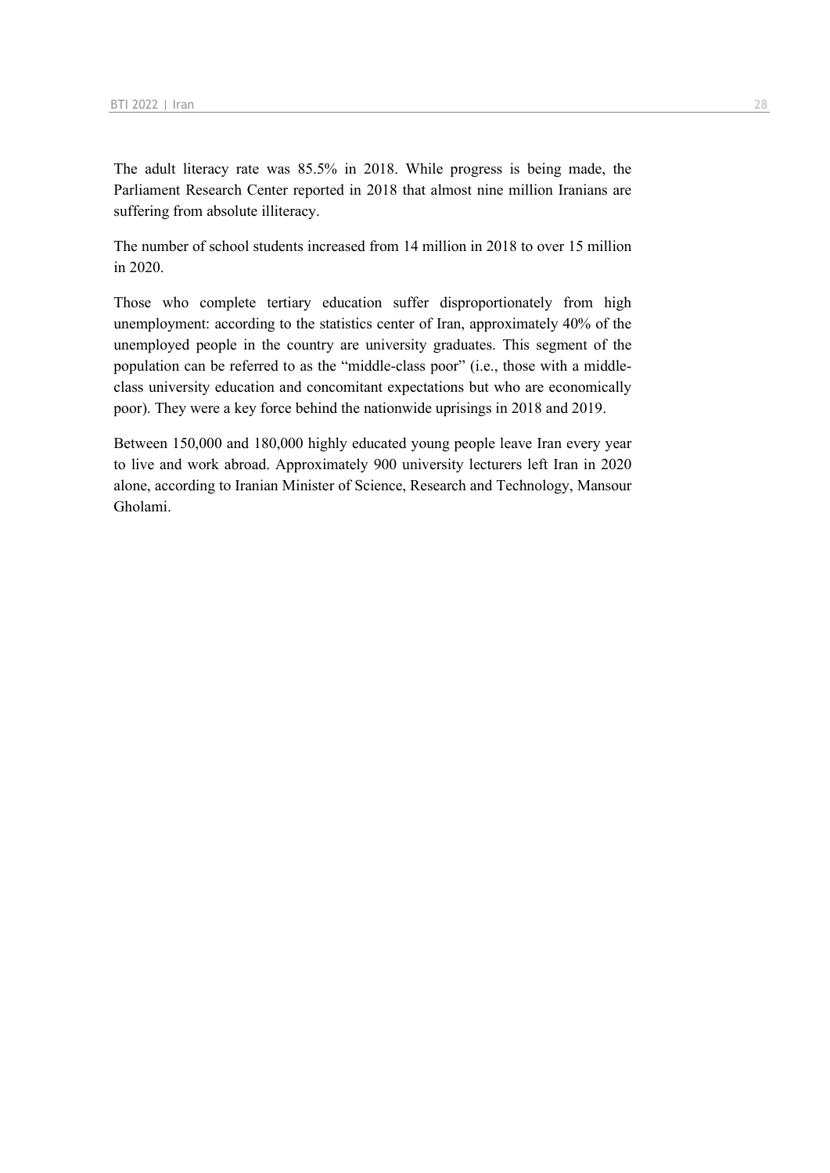The adult literacy rate was 85.5% in 2018. While progress is being made, the Parliament Research Center reported in 2018 that almost nine million Iranians are suffering from absolute illiteracy.

The number of school students increased from 14 million in 2018 to over 15 million in 2020.

Those who complete tertiary education suffer disproportionately from high unemployment: according to the statistics center of Iran, approximately 40% of the unemployed people in the country are university graduates. This segment of the population can be referred to as the "middle-class poor" (i.e., those with a middleclass university education and concomitant expectations but who are economically poor). They were a key force behind the nationwide uprisings in 2018 and 2019.

Between 150,000 and 180,000 highly educated young people leave Iran every year to live and work abroad. Approximately 900 university lecturers left Iran in 2020 alone, according to Iranian Minister of Science, Research and Technology, Mansour Gholami.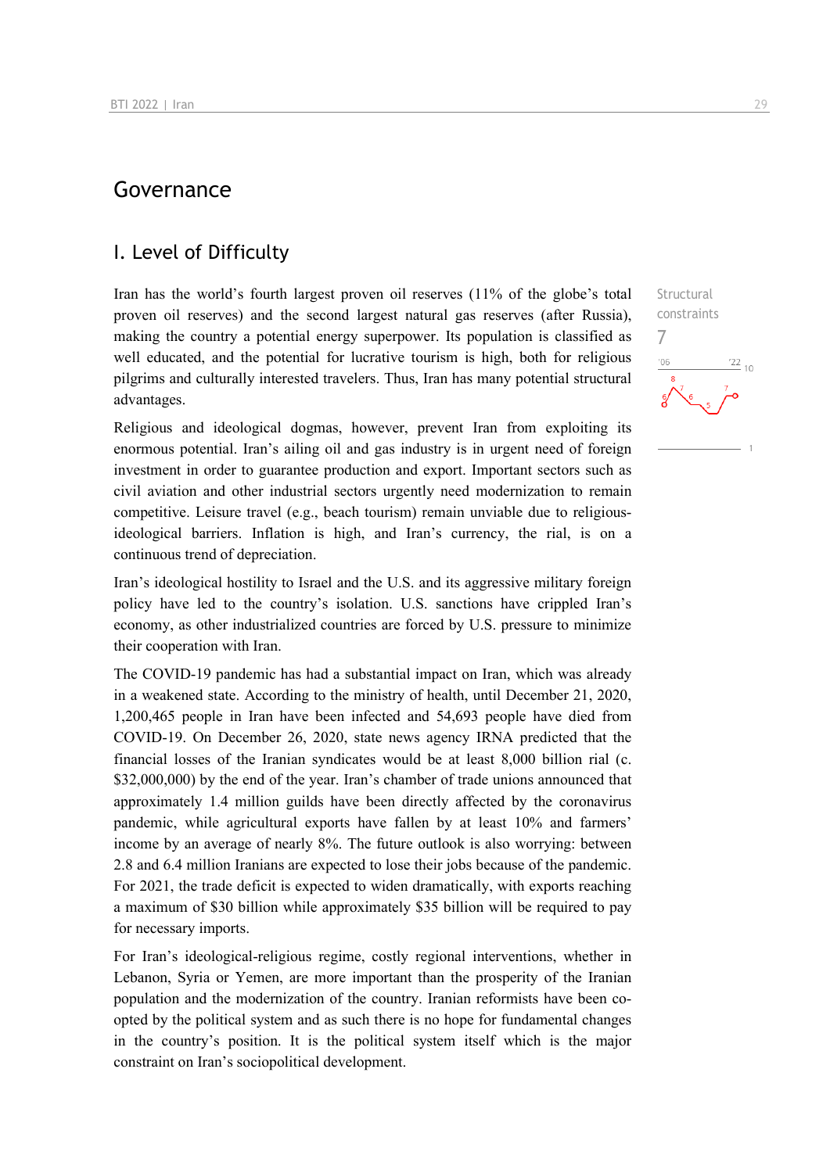## Governance

## I. Level of Difficulty

Iran has the world's fourth largest proven oil reserves (11% of the globe's total proven oil reserves) and the second largest natural gas reserves (after Russia), making the country a potential energy superpower. Its population is classified as well educated, and the potential for lucrative tourism is high, both for religious pilgrims and culturally interested travelers. Thus, Iran has many potential structural advantages.

Religious and ideological dogmas, however, prevent Iran from exploiting its enormous potential. Iran's ailing oil and gas industry is in urgent need of foreign investment in order to guarantee production and export. Important sectors such as civil aviation and other industrial sectors urgently need modernization to remain competitive. Leisure travel (e.g., beach tourism) remain unviable due to religiousideological barriers. Inflation is high, and Iran's currency, the rial, is on a continuous trend of depreciation.

Iran's ideological hostility to Israel and the U.S. and its aggressive military foreign policy have led to the country's isolation. U.S. sanctions have crippled Iran's economy, as other industrialized countries are forced by U.S. pressure to minimize their cooperation with Iran.

The COVID-19 pandemic has had a substantial impact on Iran, which was already in a weakened state. According to the ministry of health, until December 21, 2020, 1,200,465 people in Iran have been infected and 54,693 people have died from COVID-19. On December 26, 2020, state news agency IRNA predicted that the financial losses of the Iranian syndicates would be at least 8,000 billion rial (c. \$32,000,000) by the end of the year. Iran's chamber of trade unions announced that approximately 1.4 million guilds have been directly affected by the coronavirus pandemic, while agricultural exports have fallen by at least 10% and farmers' income by an average of nearly 8%. The future outlook is also worrying: between 2.8 and 6.4 million Iranians are expected to lose their jobs because of the pandemic. For 2021, the trade deficit is expected to widen dramatically, with exports reaching a maximum of \$30 billion while approximately \$35 billion will be required to pay for necessary imports.

For Iran's ideological-religious regime, costly regional interventions, whether in Lebanon, Syria or Yemen, are more important than the prosperity of the Iranian population and the modernization of the country. Iranian reformists have been coopted by the political system and as such there is no hope for fundamental changes in the country's position. It is the political system itself which is the major constraint on Iran's sociopolitical development.

**Structural** constraints  $\frac{22}{10}$  $-06$ 

7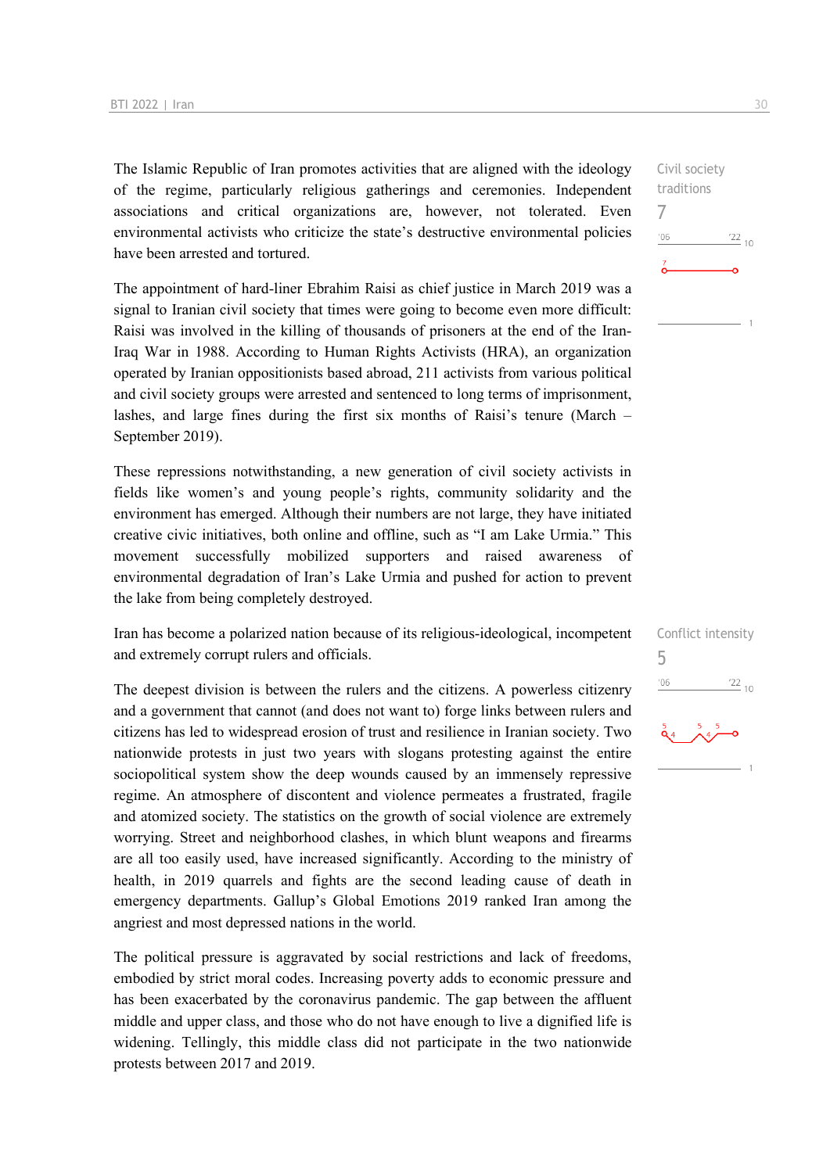The Islamic Republic of Iran promotes activities that are aligned with the ideology of the regime, particularly religious gatherings and ceremonies. Independent associations and critical organizations are, however, not tolerated. Even environmental activists who criticize the state's destructive environmental policies have been arrested and tortured.

The appointment of hard-liner Ebrahim Raisi as chief justice in March 2019 was a signal to Iranian civil society that times were going to become even more difficult: Raisi was involved in the killing of thousands of prisoners at the end of the Iran-Iraq War in 1988. According to Human Rights Activists (HRA), an organization operated by Iranian oppositionists based abroad, 211 activists from various political and civil society groups were arrested and sentenced to long terms of imprisonment, lashes, and large fines during the first six months of Raisi's tenure (March – September 2019).

These repressions notwithstanding, a new generation of civil society activists in fields like women's and young people's rights, community solidarity and the environment has emerged. Although their numbers are not large, they have initiated creative civic initiatives, both online and offline, such as "I am Lake Urmia." This movement successfully mobilized supporters and raised awareness of environmental degradation of Iran's Lake Urmia and pushed for action to prevent the lake from being completely destroyed.

Iran has become a polarized nation because of its religious-ideological, incompetent and extremely corrupt rulers and officials.

The deepest division is between the rulers and the citizens. A powerless citizenry and a government that cannot (and does not want to) forge links between rulers and citizens has led to widespread erosion of trust and resilience in Iranian society. Two nationwide protests in just two years with slogans protesting against the entire sociopolitical system show the deep wounds caused by an immensely repressive regime. An atmosphere of discontent and violence permeates a frustrated, fragile and atomized society. The statistics on the growth of social violence are extremely worrying. Street and neighborhood clashes, in which blunt weapons and firearms are all too easily used, have increased significantly. According to the ministry of health, in 2019 quarrels and fights are the second leading cause of death in emergency departments. Gallup's Global Emotions 2019 ranked Iran among the angriest and most depressed nations in the world.

The political pressure is aggravated by social restrictions and lack of freedoms, embodied by strict moral codes. Increasing poverty adds to economic pressure and has been exacerbated by the coronavirus pandemic. The gap between the affluent middle and upper class, and those who do not have enough to live a dignified life is widening. Tellingly, this middle class did not participate in the two nationwide protests between 2017 and 2019.



| Conflict intensity |                 |
|--------------------|-----------------|
| '06                | $\frac{22}{10}$ |
| $\frac{5}{9}$ 4    |                 |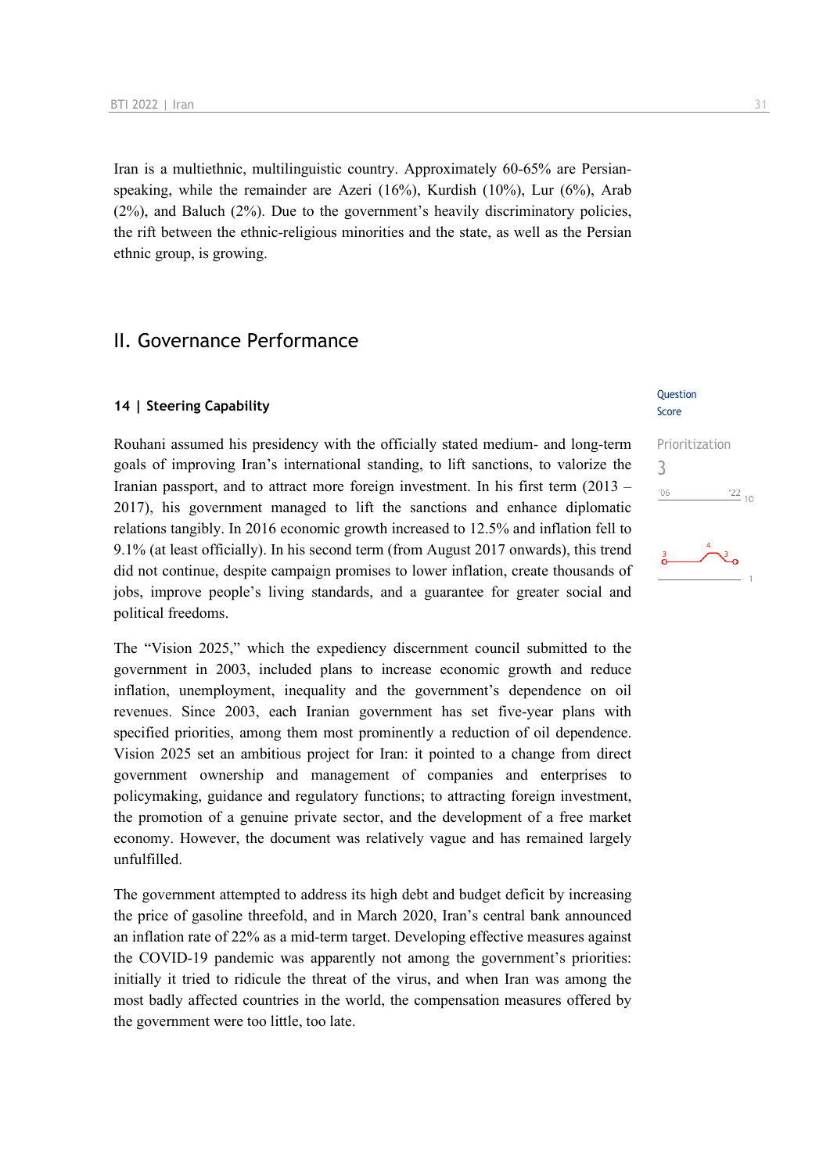Iran is a multiethnic, multilinguistic country. Approximately 60-65% are Persianspeaking, while the remainder are Azeri (16%), Kurdish (10%), Lur (6%), Arab (2%), and Baluch (2%). Due to the government's heavily discriminatory policies, the rift between the ethnic-religious minorities and the state, as well as the Persian ethnic group, is growing.

#### II. Governance Performance

#### **14 | Steering Capability**

Rouhani assumed his presidency with the officially stated medium- and long-term goals of improving Iran's international standing, to lift sanctions, to valorize the Iranian passport, and to attract more foreign investment. In his first term (2013 – 2017), his government managed to lift the sanctions and enhance diplomatic relations tangibly. In 2016 economic growth increased to 12.5% and inflation fell to 9.1% (at least officially). In his second term (from August 2017 onwards), this trend did not continue, despite campaign promises to lower inflation, create thousands of jobs, improve people's living standards, and a guarantee for greater social and political freedoms.

The "Vision 2025," which the expediency discernment council submitted to the government in 2003, included plans to increase economic growth and reduce inflation, unemployment, inequality and the government's dependence on oil revenues. Since 2003, each Iranian government has set five-year plans with specified priorities, among them most prominently a reduction of oil dependence. Vision 2025 set an ambitious project for Iran: it pointed to a change from direct government ownership and management of companies and enterprises to policymaking, guidance and regulatory functions; to attracting foreign investment, the promotion of a genuine private sector, and the development of a free market economy. However, the document was relatively vague and has remained largely unfulfilled.

The government attempted to address its high debt and budget deficit by increasing the price of gasoline threefold, and in March 2020, Iran's central bank announced an inflation rate of 22% as a mid-term target. Developing effective measures against the COVID-19 pandemic was apparently not among the government's priorities: initially it tried to ridicule the threat of the virus, and when Iran was among the most badly affected countries in the world, the compensation measures offered by the government were too little, too late.

#### **Ouestion** Score

# Prioritization 3 $\frac{22}{10}$  $106$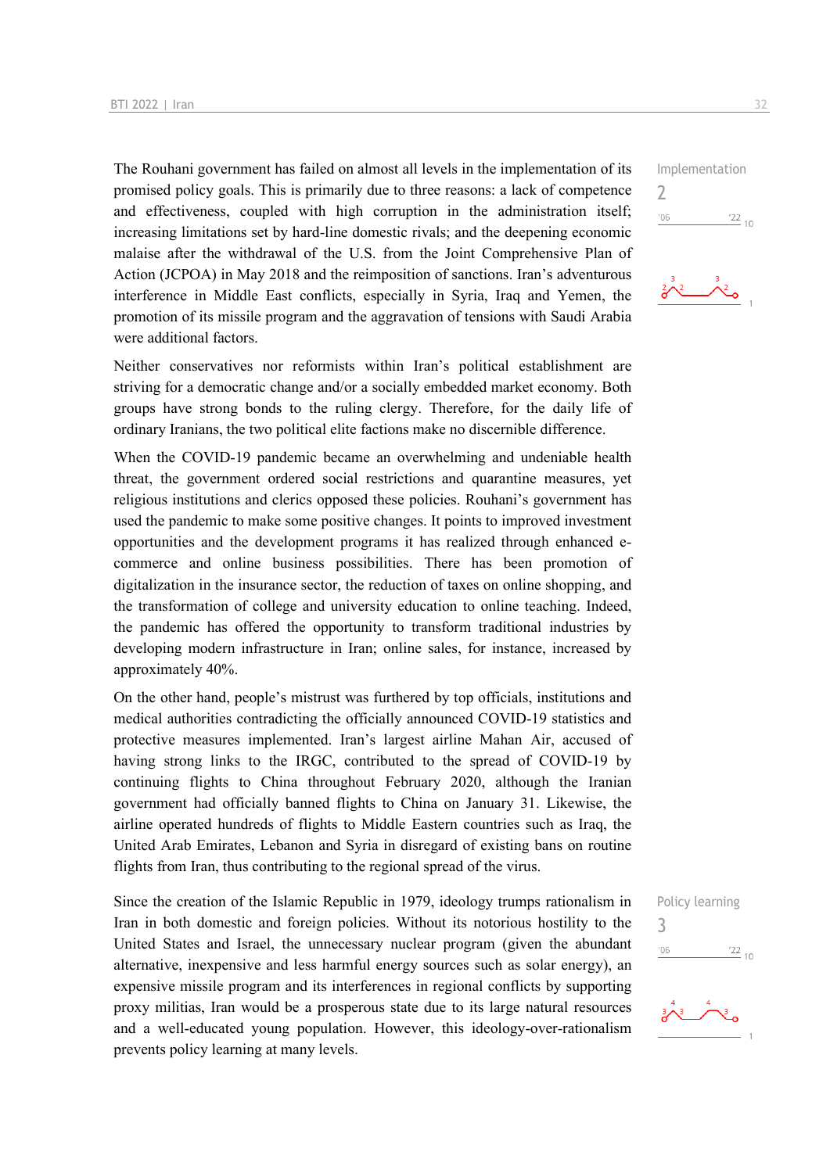The Rouhani government has failed on almost all levels in the implementation of its promised policy goals. This is primarily due to three reasons: a lack of competence and effectiveness, coupled with high corruption in the administration itself; increasing limitations set by hard-line domestic rivals; and the deepening economic malaise after the withdrawal of the U.S. from the Joint Comprehensive Plan of Action (JCPOA) in May 2018 and the reimposition of sanctions. Iran's adventurous interference in Middle East conflicts, especially in Syria, Iraq and Yemen, the promotion of its missile program and the aggravation of tensions with Saudi Arabia were additional factors.

Neither conservatives nor reformists within Iran's political establishment are striving for a democratic change and/or a socially embedded market economy. Both groups have strong bonds to the ruling clergy. Therefore, for the daily life of ordinary Iranians, the two political elite factions make no discernible difference.

When the COVID-19 pandemic became an overwhelming and undeniable health threat, the government ordered social restrictions and quarantine measures, yet religious institutions and clerics opposed these policies. Rouhani's government has used the pandemic to make some positive changes. It points to improved investment opportunities and the development programs it has realized through enhanced ecommerce and online business possibilities. There has been promotion of digitalization in the insurance sector, the reduction of taxes on online shopping, and the transformation of college and university education to online teaching. Indeed, the pandemic has offered the opportunity to transform traditional industries by developing modern infrastructure in Iran; online sales, for instance, increased by approximately 40%.

On the other hand, people's mistrust was furthered by top officials, institutions and medical authorities contradicting the officially announced COVID-19 statistics and protective measures implemented. Iran's largest airline Mahan Air, accused of having strong links to the IRGC, contributed to the spread of COVID-19 by continuing flights to China throughout February 2020, although the Iranian government had officially banned flights to China on January 31. Likewise, the airline operated hundreds of flights to Middle Eastern countries such as Iraq, the United Arab Emirates, Lebanon and Syria in disregard of existing bans on routine flights from Iran, thus contributing to the regional spread of the virus.

Since the creation of the Islamic Republic in 1979, ideology trumps rationalism in Iran in both domestic and foreign policies. Without its notorious hostility to the United States and Israel, the unnecessary nuclear program (given the abundant alternative, inexpensive and less harmful energy sources such as solar energy), an expensive missile program and its interferences in regional conflicts by supporting proxy militias, Iran would be a prosperous state due to its large natural resources and a well-educated young population. However, this ideology-over-rationalism prevents policy learning at many levels.

Implementation  $\overline{\phantom{0}}$  $'06$  $^{22}$  10







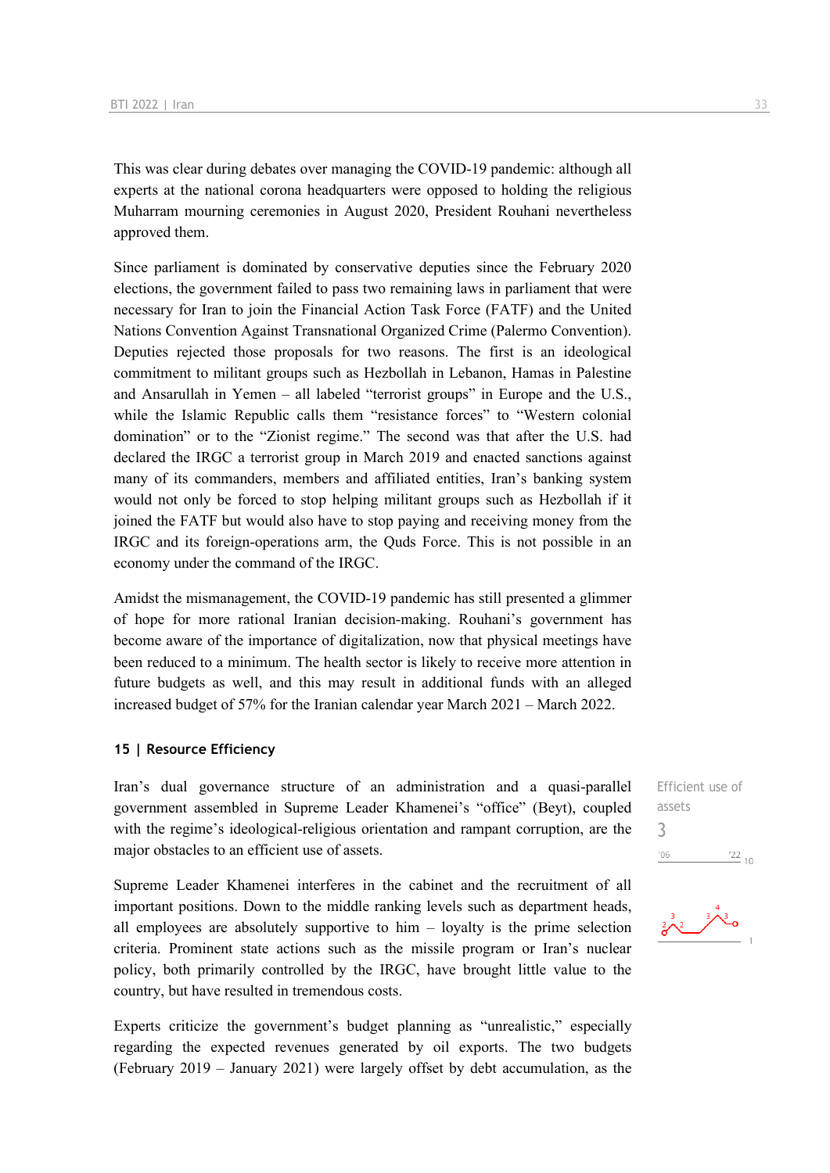This was clear during debates over managing the COVID-19 pandemic: although all experts at the national corona headquarters were opposed to holding the religious Muharram mourning ceremonies in August 2020, President Rouhani nevertheless approved them.

Since parliament is dominated by conservative deputies since the February 2020 elections, the government failed to pass two remaining laws in parliament that were necessary for Iran to join the Financial Action Task Force (FATF) and the United Nations Convention Against Transnational Organized Crime (Palermo Convention). Deputies rejected those proposals for two reasons. The first is an ideological commitment to militant groups such as Hezbollah in Lebanon, Hamas in Palestine and Ansarullah in Yemen – all labeled "terrorist groups" in Europe and the U.S., while the Islamic Republic calls them "resistance forces" to "Western colonial domination" or to the "Zionist regime." The second was that after the U.S. had declared the IRGC a terrorist group in March 2019 and enacted sanctions against many of its commanders, members and affiliated entities, Iran's banking system would not only be forced to stop helping militant groups such as Hezbollah if it joined the FATF but would also have to stop paying and receiving money from the IRGC and its foreign-operations arm, the Quds Force. This is not possible in an economy under the command of the IRGC.

Amidst the mismanagement, the COVID-19 pandemic has still presented a glimmer of hope for more rational Iranian decision-making. Rouhani's government has become aware of the importance of digitalization, now that physical meetings have been reduced to a minimum. The health sector is likely to receive more attention in future budgets as well, and this may result in additional funds with an alleged increased budget of 57% for the Iranian calendar year March 2021 – March 2022.

#### **15 | Resource Efficiency**

Iran's dual governance structure of an administration and a quasi-parallel government assembled in Supreme Leader Khamenei's "office" (Beyt), coupled with the regime's ideological-religious orientation and rampant corruption, are the major obstacles to an efficient use of assets.

Supreme Leader Khamenei interferes in the cabinet and the recruitment of all important positions. Down to the middle ranking levels such as department heads, all employees are absolutely supportive to him – loyalty is the prime selection criteria. Prominent state actions such as the missile program or Iran's nuclear policy, both primarily controlled by the IRGC, have brought little value to the country, but have resulted in tremendous costs.

Experts criticize the government's budget planning as "unrealistic," especially regarding the expected revenues generated by oil exports. The two budgets (February 2019 – January 2021) were largely offset by debt accumulation, as the

Efficient use of assets 3 $\frac{22}{10}$  $'06$ 

$$
\frac{2^{3}}{2^{3}} \times \frac{3^{4}}{2^{1}}
$$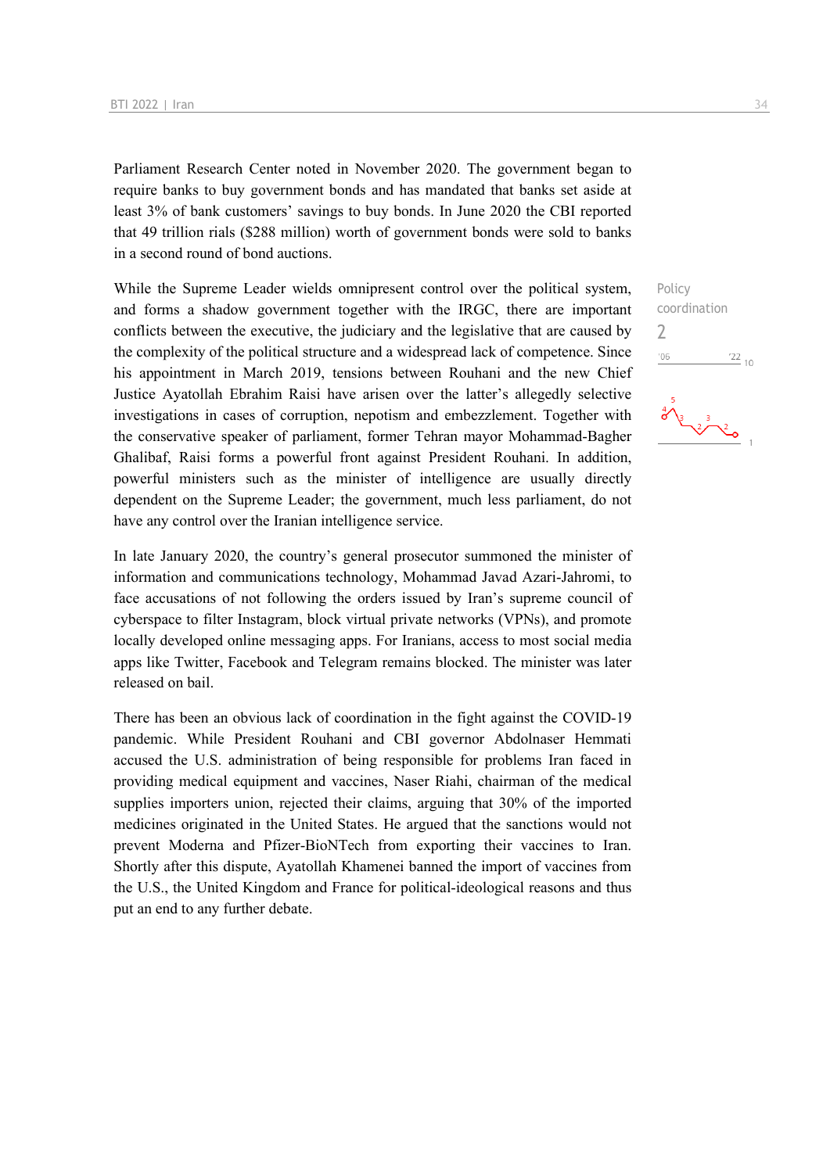Parliament Research Center noted in November 2020. The government began to require banks to buy government bonds and has mandated that banks set aside at least 3% of bank customers' savings to buy bonds. In June 2020 the CBI reported that 49 trillion rials (\$288 million) worth of government bonds were sold to banks in a second round of bond auctions.

While the Supreme Leader wields omnipresent control over the political system, and forms a shadow government together with the IRGC, there are important conflicts between the executive, the judiciary and the legislative that are caused by the complexity of the political structure and a widespread lack of competence. Since his appointment in March 2019, tensions between Rouhani and the new Chief Justice Ayatollah Ebrahim Raisi have arisen over the latter's allegedly selective investigations in cases of corruption, nepotism and embezzlement. Together with the conservative speaker of parliament, former Tehran mayor Mohammad-Bagher Ghalibaf, Raisi forms a powerful front against President Rouhani. In addition, powerful ministers such as the minister of intelligence are usually directly dependent on the Supreme Leader; the government, much less parliament, do not have any control over the Iranian intelligence service.

In late January 2020, the country's general prosecutor summoned the minister of information and communications technology, Mohammad Javad Azari-Jahromi, to face accusations of not following the orders issued by Iran's supreme council of cyberspace to filter Instagram, block virtual private networks (VPNs), and promote locally developed online messaging apps. For Iranians, access to most social media apps like Twitter, Facebook and Telegram remains blocked. The minister was later released on bail.

There has been an obvious lack of coordination in the fight against the COVID-19 pandemic. While President Rouhani and CBI governor Abdolnaser Hemmati accused the U.S. administration of being responsible for problems Iran faced in providing medical equipment and vaccines, Naser Riahi, chairman of the medical supplies importers union, rejected their claims, arguing that 30% of the imported medicines originated in the United States. He argued that the sanctions would not prevent Moderna and Pfizer-BioNTech from exporting their vaccines to Iran. Shortly after this dispute, Ayatollah Khamenei banned the import of vaccines from the U.S., the United Kingdom and France for political-ideological reasons and thus put an end to any further debate.

Policy coordination  $\overline{\phantom{0}}$  $\frac{22}{10}$  $'06$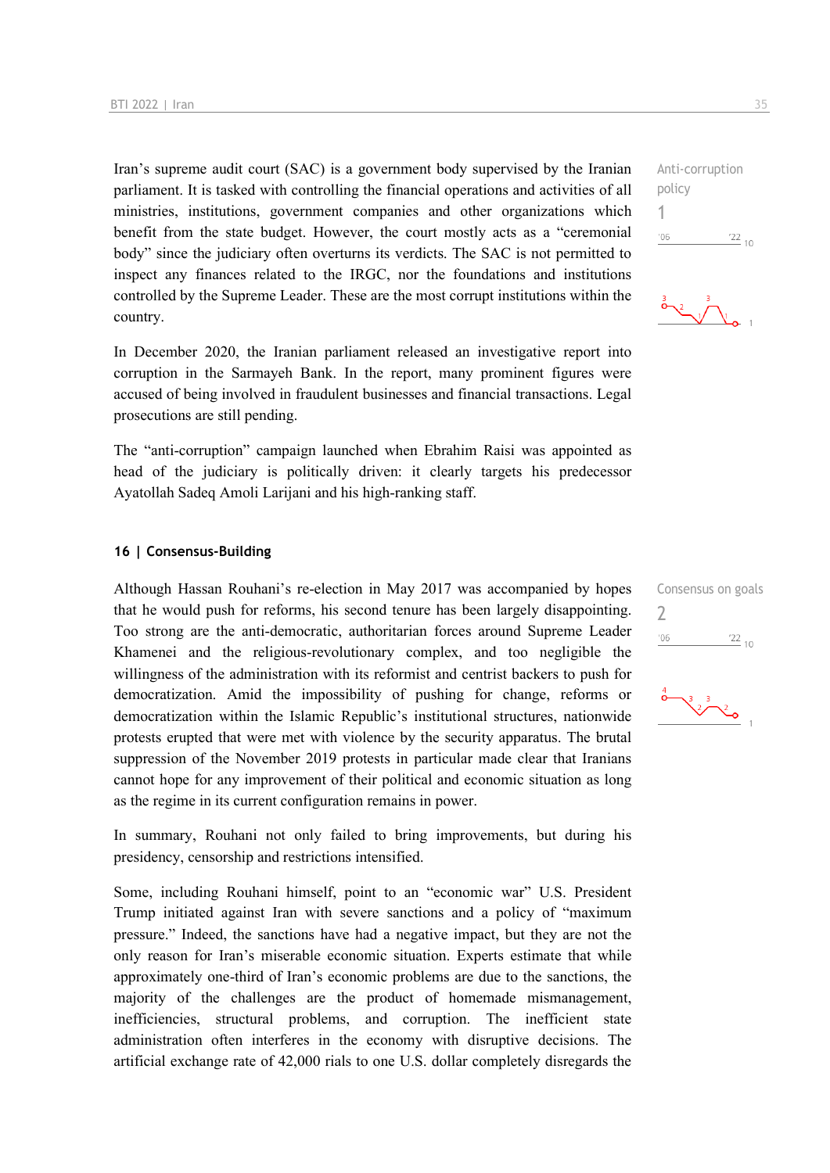Iran's supreme audit court (SAC) is a government body supervised by the Iranian parliament. It is tasked with controlling the financial operations and activities of all ministries, institutions, government companies and other organizations which benefit from the state budget. However, the court mostly acts as a "ceremonial body" since the judiciary often overturns its verdicts. The SAC is not permitted to inspect any finances related to the IRGC, nor the foundations and institutions controlled by the Supreme Leader. These are the most corrupt institutions within the country.

In December 2020, the Iranian parliament released an investigative report into corruption in the Sarmayeh Bank. In the report, many prominent figures were accused of being involved in fraudulent businesses and financial transactions. Legal prosecutions are still pending.

The "anti-corruption" campaign launched when Ebrahim Raisi was appointed as head of the judiciary is politically driven: it clearly targets his predecessor Ayatollah Sadeq Amoli Larijani and his high-ranking staff.

#### **16 | Consensus-Building**

Although Hassan Rouhani's re-election in May 2017 was accompanied by hopes that he would push for reforms, his second tenure has been largely disappointing. Too strong are the anti-democratic, authoritarian forces around Supreme Leader Khamenei and the religious-revolutionary complex, and too negligible the willingness of the administration with its reformist and centrist backers to push for democratization. Amid the impossibility of pushing for change, reforms or democratization within the Islamic Republic's institutional structures, nationwide protests erupted that were met with violence by the security apparatus. The brutal suppression of the November 2019 protests in particular made clear that Iranians cannot hope for any improvement of their political and economic situation as long as the regime in its current configuration remains in power.

In summary, Rouhani not only failed to bring improvements, but during his presidency, censorship and restrictions intensified.

Some, including Rouhani himself, point to an "economic war" U.S. President Trump initiated against Iran with severe sanctions and a policy of "maximum pressure." Indeed, the sanctions have had a negative impact, but they are not the only reason for Iran's miserable economic situation. Experts estimate that while approximately one-third of Iran's economic problems are due to the sanctions, the majority of the challenges are the product of homemade mismanagement, inefficiencies, structural problems, and corruption. The inefficient state administration often interferes in the economy with disruptive decisions. The artificial exchange rate of 42,000 rials to one U.S. dollar completely disregards the

Anti-corruption policy 1  $-06$  $\frac{22}{10}$ 



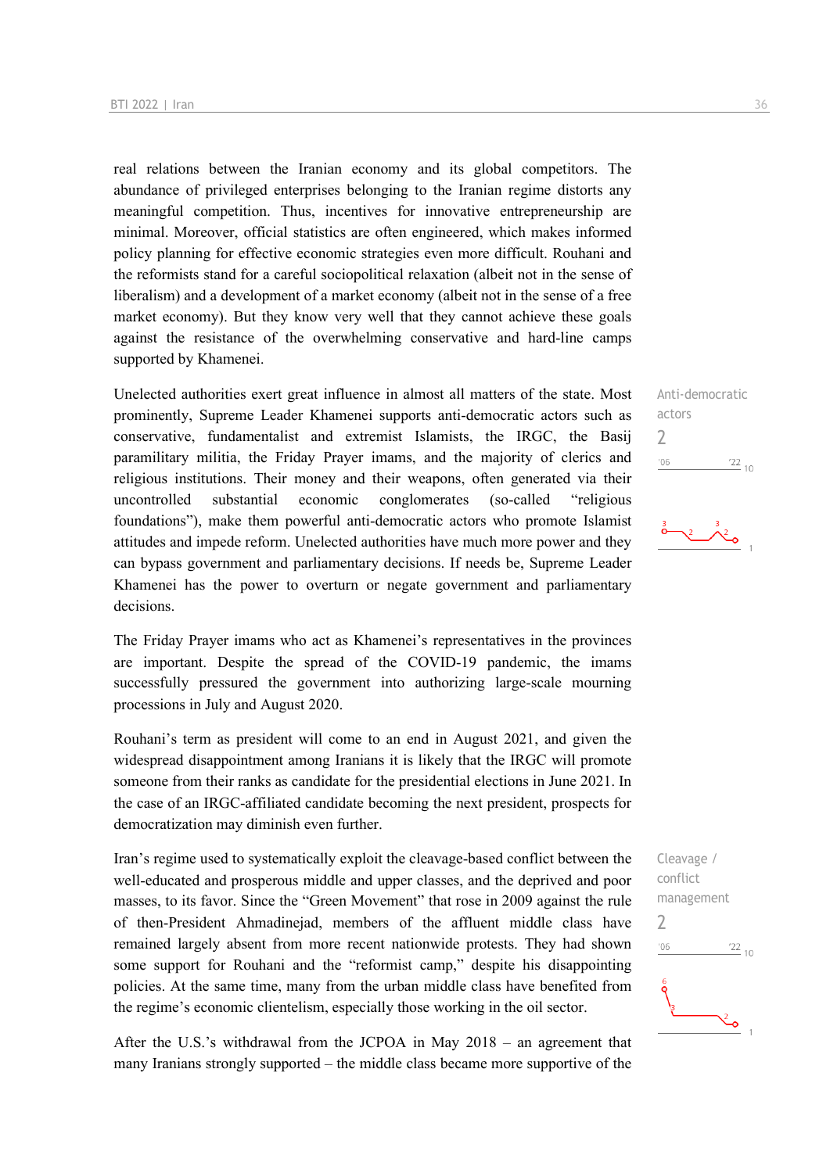real relations between the Iranian economy and its global competitors. The abundance of privileged enterprises belonging to the Iranian regime distorts any meaningful competition. Thus, incentives for innovative entrepreneurship are minimal. Moreover, official statistics are often engineered, which makes informed policy planning for effective economic strategies even more difficult. Rouhani and the reformists stand for a careful sociopolitical relaxation (albeit not in the sense of liberalism) and a development of a market economy (albeit not in the sense of a free market economy). But they know very well that they cannot achieve these goals against the resistance of the overwhelming conservative and hard-line camps supported by Khamenei.

Unelected authorities exert great influence in almost all matters of the state. Most prominently, Supreme Leader Khamenei supports anti-democratic actors such as conservative, fundamentalist and extremist Islamists, the IRGC, the Basij paramilitary militia, the Friday Prayer imams, and the majority of clerics and religious institutions. Their money and their weapons, often generated via their uncontrolled substantial economic conglomerates (so-called "religious foundations"), make them powerful anti-democratic actors who promote Islamist attitudes and impede reform. Unelected authorities have much more power and they can bypass government and parliamentary decisions. If needs be, Supreme Leader Khamenei has the power to overturn or negate government and parliamentary decisions.

The Friday Prayer imams who act as Khamenei's representatives in the provinces are important. Despite the spread of the COVID-19 pandemic, the imams successfully pressured the government into authorizing large-scale mourning processions in July and August 2020.

Rouhani's term as president will come to an end in August 2021, and given the widespread disappointment among Iranians it is likely that the IRGC will promote someone from their ranks as candidate for the presidential elections in June 2021. In the case of an IRGC-affiliated candidate becoming the next president, prospects for democratization may diminish even further.

Iran's regime used to systematically exploit the cleavage-based conflict between the well-educated and prosperous middle and upper classes, and the deprived and poor masses, to its favor. Since the "Green Movement" that rose in 2009 against the rule of then-President Ahmadinejad, members of the affluent middle class have remained largely absent from more recent nationwide protests. They had shown some support for Rouhani and the "reformist camp," despite his disappointing policies. At the same time, many from the urban middle class have benefited from the regime's economic clientelism, especially those working in the oil sector.

After the U.S.'s withdrawal from the JCPOA in May 2018 – an agreement that many Iranians strongly supported – the middle class became more supportive of the

Anti-democratic actors  $\overline{\phantom{0}}$  $\frac{22}{10}$  $'06$ 

Cleavage / conflict management  $\overline{\phantom{0}}$  $\frac{22}{10}$  $^{\prime}06$ گی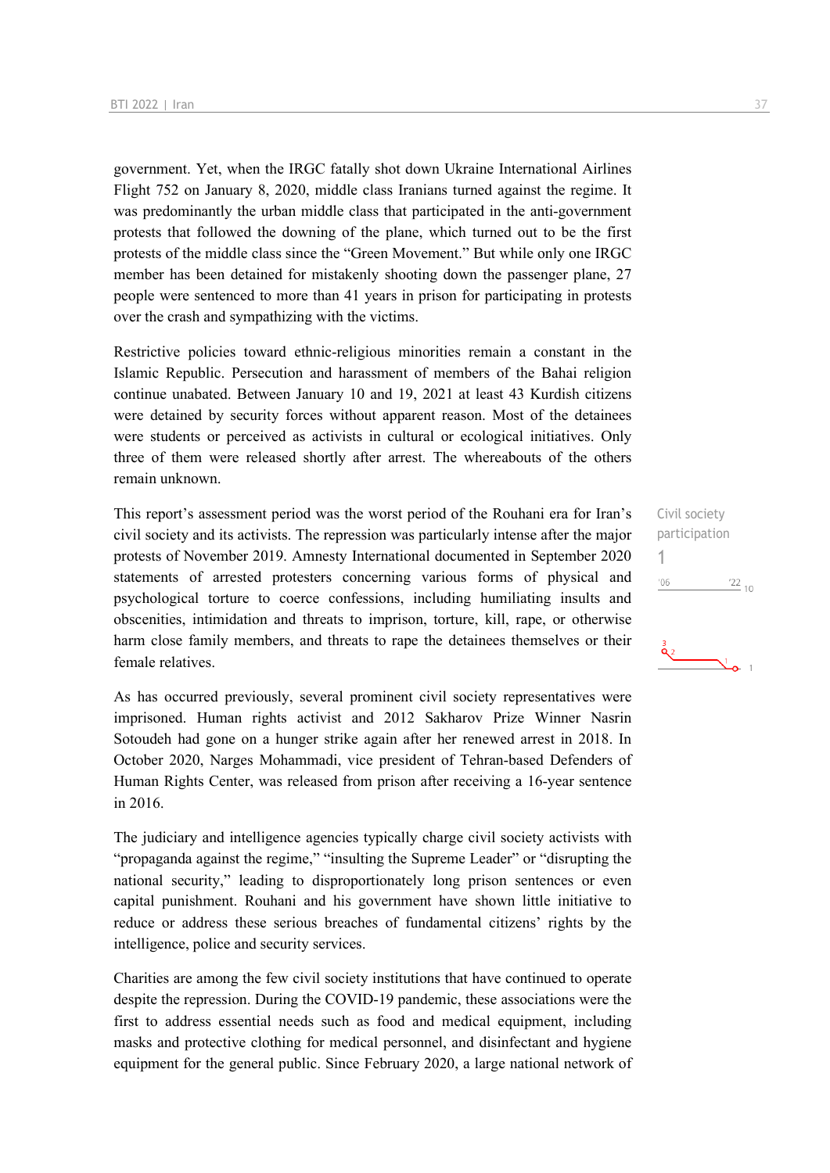government. Yet, when the IRGC fatally shot down Ukraine International Airlines Flight 752 on January 8, 2020, middle class Iranians turned against the regime. It was predominantly the urban middle class that participated in the anti-government protests that followed the downing of the plane, which turned out to be the first protests of the middle class since the "Green Movement." But while only one IRGC member has been detained for mistakenly shooting down the passenger plane, 27 people were sentenced to more than 41 years in prison for participating in protests over the crash and sympathizing with the victims.

Restrictive policies toward ethnic-religious minorities remain a constant in the Islamic Republic. Persecution and harassment of members of the Bahai religion continue unabated. Between January 10 and 19, 2021 at least 43 Kurdish citizens were detained by security forces without apparent reason. Most of the detainees were students or perceived as activists in cultural or ecological initiatives. Only three of them were released shortly after arrest. The whereabouts of the others remain unknown.

This report's assessment period was the worst period of the Rouhani era for Iran's civil society and its activists. The repression was particularly intense after the major protests of November 2019. Amnesty International documented in September 2020 statements of arrested protesters concerning various forms of physical and psychological torture to coerce confessions, including humiliating insults and obscenities, intimidation and threats to imprison, torture, kill, rape, or otherwise harm close family members, and threats to rape the detainees themselves or their female relatives.

As has occurred previously, several prominent civil society representatives were imprisoned. Human rights activist and 2012 Sakharov Prize Winner Nasrin Sotoudeh had gone on a hunger strike again after her renewed arrest in 2018. In October 2020, Narges Mohammadi, vice president of Tehran-based Defenders of Human Rights Center, was released from prison after receiving a 16-year sentence in 2016.

The judiciary and intelligence agencies typically charge civil society activists with "propaganda against the regime," "insulting the Supreme Leader" or "disrupting the national security," leading to disproportionately long prison sentences or even capital punishment. Rouhani and his government have shown little initiative to reduce or address these serious breaches of fundamental citizens' rights by the intelligence, police and security services.

Charities are among the few civil society institutions that have continued to operate despite the repression. During the COVID-19 pandemic, these associations were the first to address essential needs such as food and medical equipment, including masks and protective clothing for medical personnel, and disinfectant and hygiene equipment for the general public. Since February 2020, a large national network of Civil society participation 1 $\frac{22}{10}$  $'06$ 

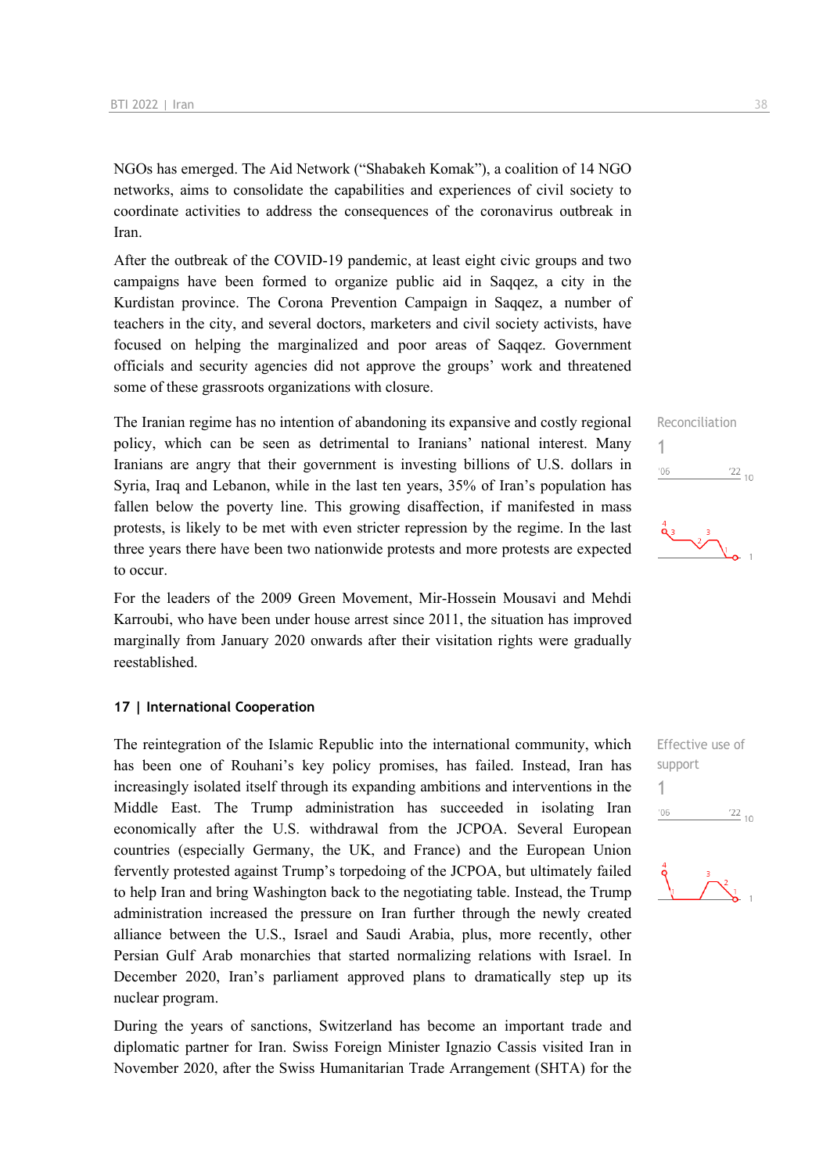NGOs has emerged. The Aid Network ("Shabakeh Komak"), a coalition of 14 NGO networks, aims to consolidate the capabilities and experiences of civil society to coordinate activities to address the consequences of the coronavirus outbreak in Iran.

After the outbreak of the COVID-19 pandemic, at least eight civic groups and two campaigns have been formed to organize public aid in Saqqez, a city in the Kurdistan province. The Corona Prevention Campaign in Saqqez, a number of teachers in the city, and several doctors, marketers and civil society activists, have focused on helping the marginalized and poor areas of Saqqez. Government officials and security agencies did not approve the groups' work and threatened some of these grassroots organizations with closure.

The Iranian regime has no intention of abandoning its expansive and costly regional policy, which can be seen as detrimental to Iranians' national interest. Many Iranians are angry that their government is investing billions of U.S. dollars in Syria, Iraq and Lebanon, while in the last ten years, 35% of Iran's population has fallen below the poverty line. This growing disaffection, if manifested in mass protests, is likely to be met with even stricter repression by the regime. In the last three years there have been two nationwide protests and more protests are expected to occur.

For the leaders of the 2009 Green Movement, Mir-Hossein Mousavi and Mehdi Karroubi, who have been under house arrest since 2011, the situation has improved marginally from January 2020 onwards after their visitation rights were gradually reestablished.

#### **17 | International Cooperation**

The reintegration of the Islamic Republic into the international community, which has been one of Rouhani's key policy promises, has failed. Instead, Iran has increasingly isolated itself through its expanding ambitions and interventions in the Middle East. The Trump administration has succeeded in isolating Iran economically after the U.S. withdrawal from the JCPOA. Several European countries (especially Germany, the UK, and France) and the European Union fervently protested against Trump's torpedoing of the JCPOA, but ultimately failed to help Iran and bring Washington back to the negotiating table. Instead, the Trump administration increased the pressure on Iran further through the newly created alliance between the U.S., Israel and Saudi Arabia, plus, more recently, other Persian Gulf Arab monarchies that started normalizing relations with Israel. In December 2020, Iran's parliament approved plans to dramatically step up its nuclear program.

During the years of sanctions, Switzerland has become an important trade and diplomatic partner for Iran. Swiss Foreign Minister Ignazio Cassis visited Iran in November 2020, after the Swiss Humanitarian Trade Arrangement (SHTA) for the

Reconciliation 1  $'06$  $\frac{22}{10}$ 

Effective use of support 1 $-06$  $^{22}$  10

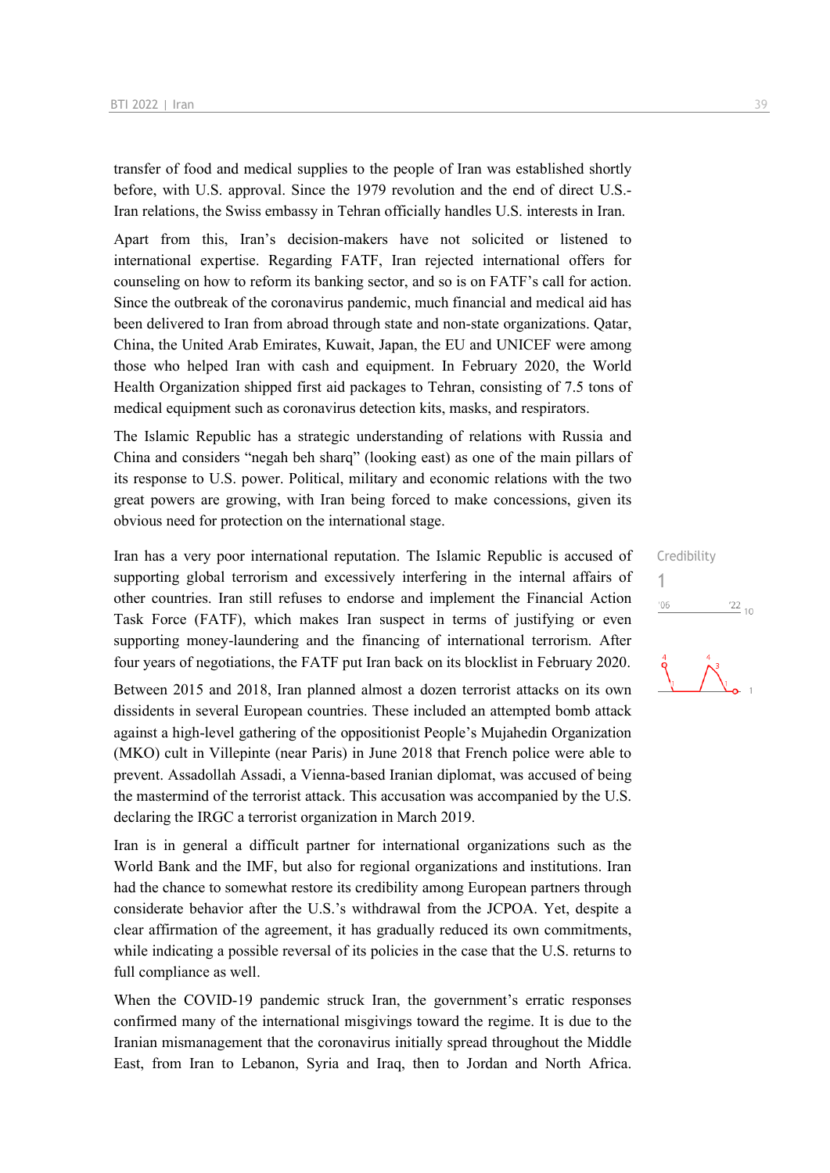transfer of food and medical supplies to the people of Iran was established shortly before, with U.S. approval. Since the 1979 revolution and the end of direct U.S.- Iran relations, the Swiss embassy in Tehran officially handles U.S. interests in Iran.

Apart from this, Iran's decision-makers have not solicited or listened to international expertise. Regarding FATF, Iran rejected international offers for counseling on how to reform its banking sector, and so is on FATF's call for action. Since the outbreak of the coronavirus pandemic, much financial and medical aid has been delivered to Iran from abroad through state and non-state organizations. Qatar, China, the United Arab Emirates, Kuwait, Japan, the EU and UNICEF were among those who helped Iran with cash and equipment. In February 2020, the World Health Organization shipped first aid packages to Tehran, consisting of 7.5 tons of medical equipment such as coronavirus detection kits, masks, and respirators.

The Islamic Republic has a strategic understanding of relations with Russia and China and considers "negah beh sharq" (looking east) as one of the main pillars of its response to U.S. power. Political, military and economic relations with the two great powers are growing, with Iran being forced to make concessions, given its obvious need for protection on the international stage.

Iran has a very poor international reputation. The Islamic Republic is accused of supporting global terrorism and excessively interfering in the internal affairs of other countries. Iran still refuses to endorse and implement the Financial Action Task Force (FATF), which makes Iran suspect in terms of justifying or even supporting money-laundering and the financing of international terrorism. After four years of negotiations, the FATF put Iran back on its blocklist in February 2020.

Between 2015 and 2018, Iran planned almost a dozen terrorist attacks on its own dissidents in several European countries. These included an attempted bomb attack against a high-level gathering of the oppositionist People's Mujahedin Organization (MKO) cult in Villepinte (near Paris) in June 2018 that French police were able to prevent. Assadollah Assadi, a Vienna-based Iranian diplomat, was accused of being the mastermind of the terrorist attack. This accusation was accompanied by the U.S. declaring the IRGC a terrorist organization in March 2019.

Iran is in general a difficult partner for international organizations such as the World Bank and the IMF, but also for regional organizations and institutions. Iran had the chance to somewhat restore its credibility among European partners through considerate behavior after the U.S.'s withdrawal from the JCPOA. Yet, despite a clear affirmation of the agreement, it has gradually reduced its own commitments, while indicating a possible reversal of its policies in the case that the U.S. returns to full compliance as well.

When the COVID-19 pandemic struck Iran, the government's erratic responses confirmed many of the international misgivings toward the regime. It is due to the Iranian mismanagement that the coronavirus initially spread throughout the Middle East, from Iran to Lebanon, Syria and Iraq, then to Jordan and North Africa. Credibility 1 $106$  $\frac{22}{10}$ 

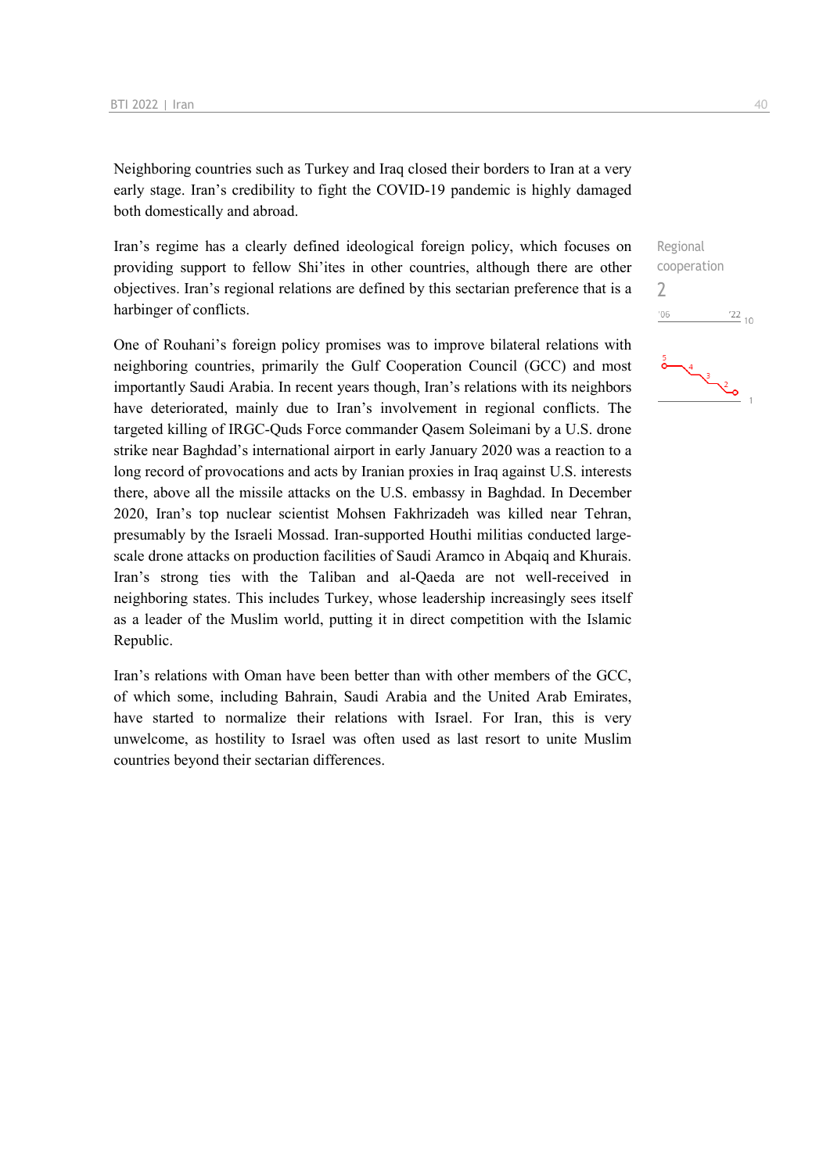Neighboring countries such as Turkey and Iraq closed their borders to Iran at a very early stage. Iran's credibility to fight the COVID-19 pandemic is highly damaged both domestically and abroad.

Iran's regime has a clearly defined ideological foreign policy, which focuses on providing support to fellow Shi'ites in other countries, although there are other objectives. Iran's regional relations are defined by this sectarian preference that is a harbinger of conflicts.

One of Rouhani's foreign policy promises was to improve bilateral relations with neighboring countries, primarily the Gulf Cooperation Council (GCC) and most importantly Saudi Arabia. In recent years though, Iran's relations with its neighbors have deteriorated, mainly due to Iran's involvement in regional conflicts. The targeted killing of IRGC-Quds Force commander Qasem Soleimani by a U.S. drone strike near Baghdad's international airport in early January 2020 was a reaction to a long record of provocations and acts by Iranian proxies in Iraq against U.S. interests there, above all the missile attacks on the U.S. embassy in Baghdad. In December 2020, Iran's top nuclear scientist Mohsen Fakhrizadeh was killed near Tehran, presumably by the Israeli Mossad. Iran-supported Houthi militias conducted largescale drone attacks on production facilities of Saudi Aramco in Abqaiq and Khurais. Iran's strong ties with the Taliban and al-Qaeda are not well-received in neighboring states. This includes Turkey, whose leadership increasingly sees itself as a leader of the Muslim world, putting it in direct competition with the Islamic Republic.

Iran's relations with Oman have been better than with other members of the GCC, of which some, including Bahrain, Saudi Arabia and the United Arab Emirates, have started to normalize their relations with Israel. For Iran, this is very unwelcome, as hostility to Israel was often used as last resort to unite Muslim countries beyond their sectarian differences.

Regional cooperation  $\overline{\phantom{0}}$  $06'$  $122_{10}$